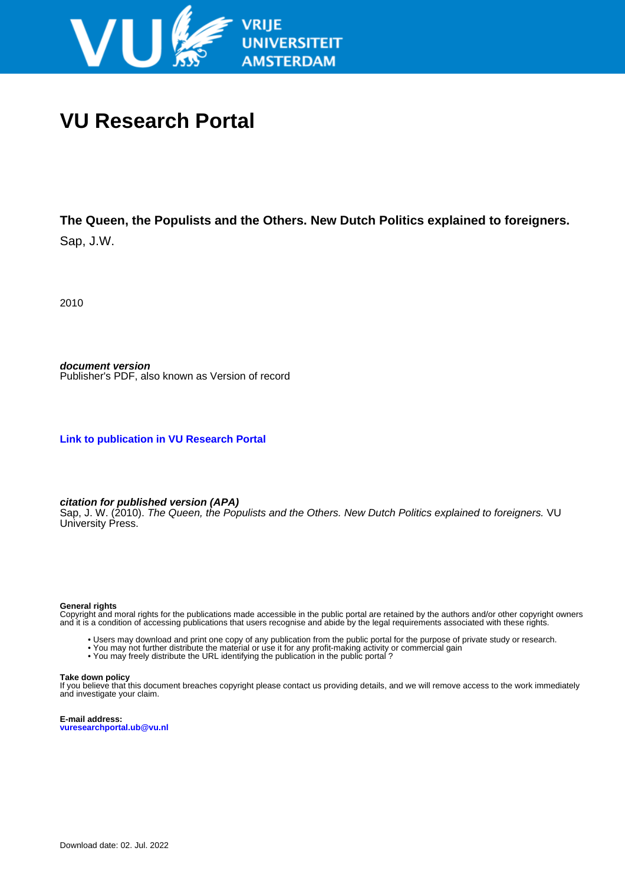

## **VU Research Portal**

**The Queen, the Populists and the Others. New Dutch Politics explained to foreigners.**

Sap, J.W.

2010

**document version** Publisher's PDF, also known as Version of record

**[Link to publication in VU Research Portal](https://research.vu.nl/en/publications/25ff7ead-ae35-4e63-8187-5b53d2357430)**

**citation for published version (APA)**

Sap, J. W. (2010). The Queen, the Populists and the Others. New Dutch Politics explained to foreigners. VU University Press.

#### **General rights**

Copyright and moral rights for the publications made accessible in the public portal are retained by the authors and/or other copyright owners and it is a condition of accessing publications that users recognise and abide by the legal requirements associated with these rights.

- Users may download and print one copy of any publication from the public portal for the purpose of private study or research.
- You may not further distribute the material or use it for any profit-making activity or commercial gain
- You may freely distribute the URL identifying the publication in the public portal?

#### **Take down policy**

If you believe that this document breaches copyright please contact us providing details, and we will remove access to the work immediately and investigate your claim.

**E-mail address: vuresearchportal.ub@vu.nl**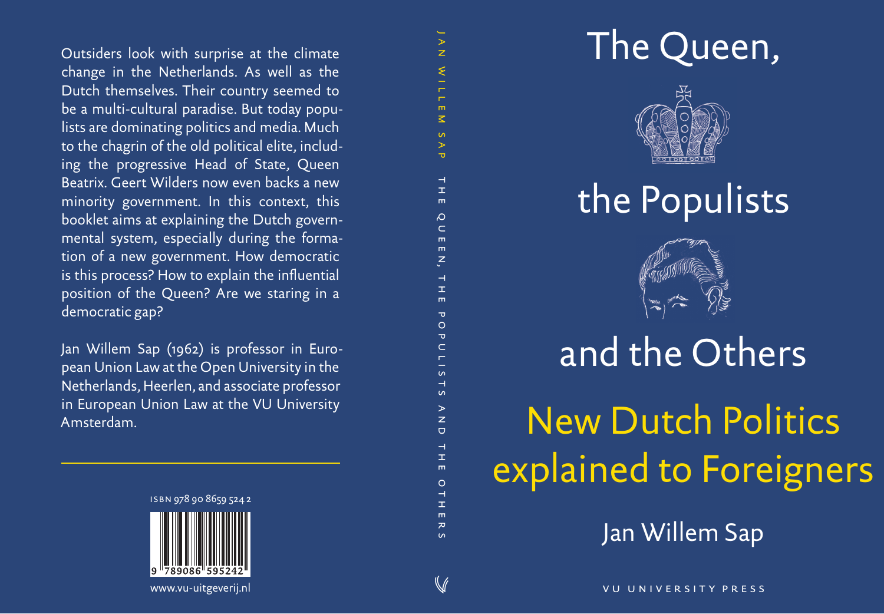Outsiders look with surprise at the climate change in the Netherlands. As well as the Dutch themselves. Their country seemed to be a multi-cultural paradise. But today populists are dominating politics and media. Much to the chagrin of the old political elite, including the progressive Head of State, Queen Beatrix. Geert Wilders now even backs a new minority government. In this context, this booklet aims at explaining the Dutch governmental system, especially during the formation of a new government. How democratic is this process? How to explain the influential position of the Queen? Are we staring in a democratic gap?

Jan Willem Sap (1962) is professor in European Union Law at the Open University in the Netherlands, Heerlen, and associate professor in European Union Law at the VU University Amsterdam.



jan willem sap t $\overline{z}$  $\overline{z}$  $\overline{a}$  $\mathbf{p}$  $\overline{\mathbf{u}}$  $\rightarrow$  h $\overline{m}$  $\Omega$  $\overline{C}$  $\overline{m}$ m n, $\overline{a}$  hm  $\overline{u}$  o $\overline{Q}$  $\overline{C}$ lu  $\overline{\phantom{a}}$  saz d $\overline{+}$  h $\overline{m}$ o $\overline{\phantom{a}}$  h $\overline{m}$ ᆽ s,

 $\mathbb{V}$ 

## The Queen,



the Populists



# and the Others New Dutch Politics explained to Foreigners

Jan Willem Sap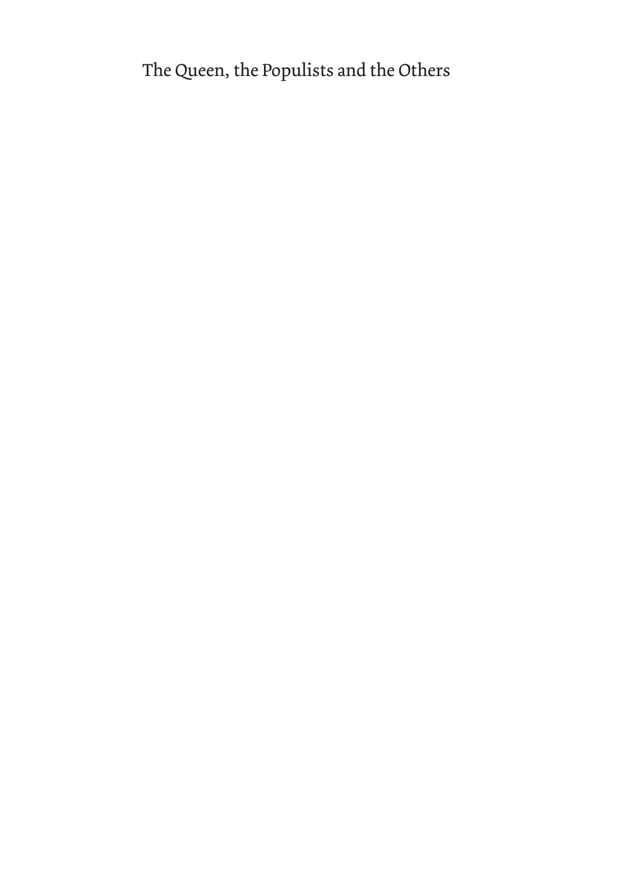The Queen, the Populists and the Others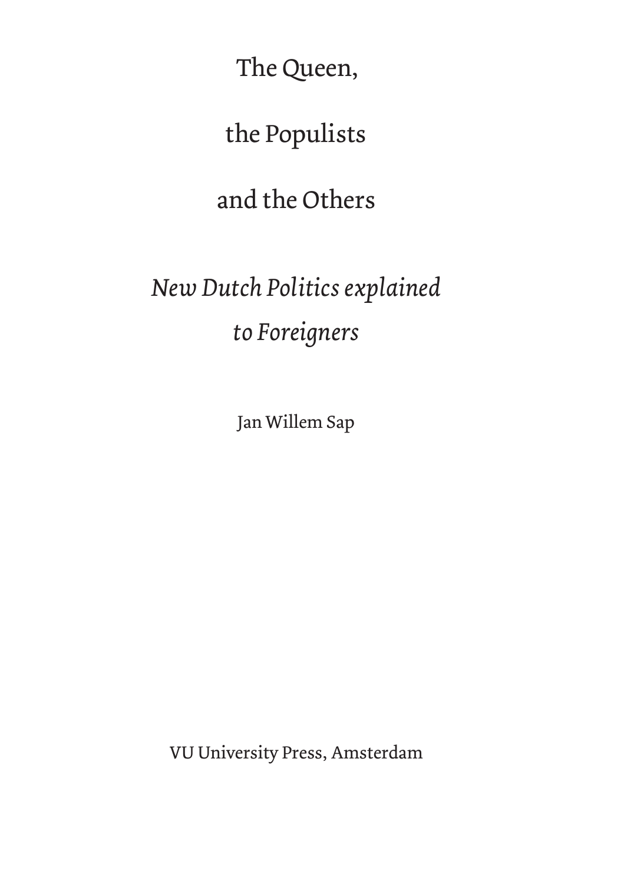The Queen,

the Populists

and the Others

## *New Dutch Politics explained to Foreigners*

Jan Willem Sap

VU University Press, Amsterdam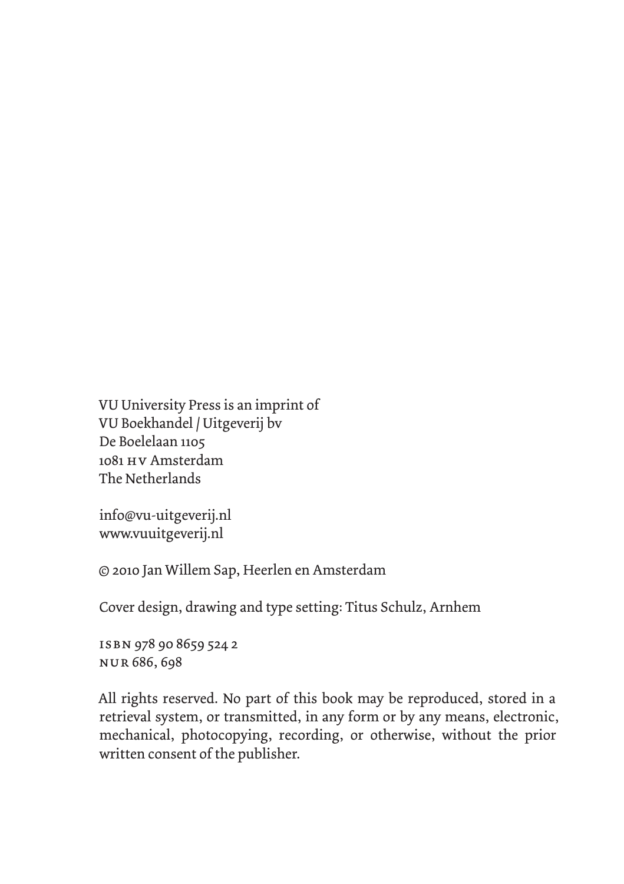VU University Press is an imprint of VU Boekhandel / Uitgeverij bv De Boelelaan 1105 1081 hv Amsterdam The Netherlands

info@vu-uitgeverij.nl www.vuuitgeverij.nl

© 2010 Jan Willem Sap, Heerlen en Amsterdam

Cover design, drawing and type setting: Titus Schulz, Arnhem

isbn 978 90 8659 524 2 nur 686, 698

All rights reserved. No part of this book may be reproduced, stored in a retrieval system, or transmitted, in any form or by any means, electronic, mechanical, photocopying, recording, or otherwise, without the prior written consent of the publisher.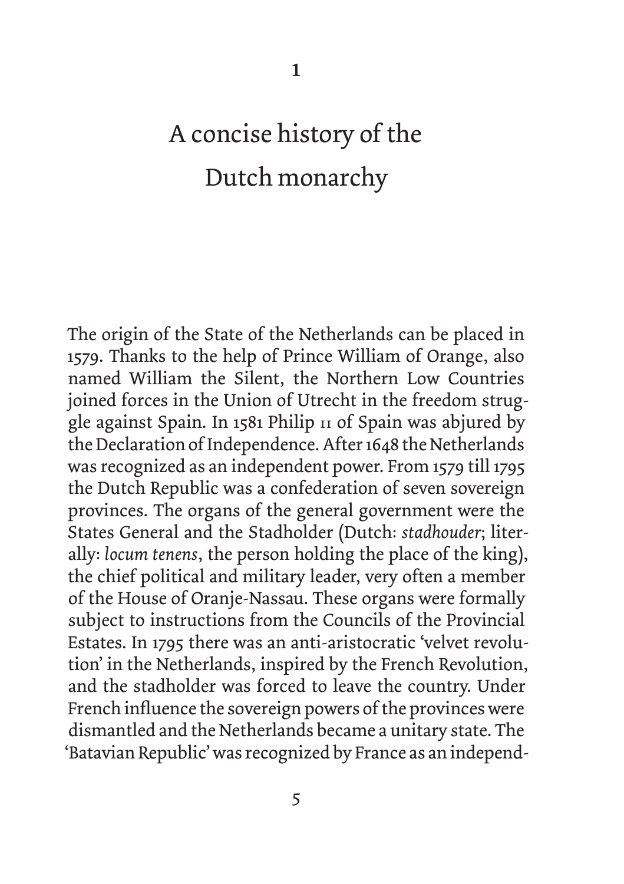## A concise history of the Dutch monarchy

The origin of the State of the Netherlands can be placed in 1579. Thanks to the help of Prince William of Orange, also named William the Silent, the Northern Low Countries joined forces in the Union of Utrecht in the freedom struggle against Spain. In 1581 Philip ii of Spain was abjured by the Declaration of Independence. After 1648 the Netherlands was recognized as an independent power. From 1579 till 1795 the Dutch Republic was a confederation of seven sovereign provinces. The organs of the general government were the States General and the Stadholder (Dutch: *stadhouder*; literally: *locum tenens*, the person holding the place of the king), the chief political and military leader, very often a member of the House of Oranje-Nassau. These organs were formally subject to instructions from the Councils of the Provincial Estates. In 1795 there was an anti-aristocratic 'velvet revolution' in the Netherlands, inspired by the French Revolution, and the stadholder was forced to leave the country. Under French influence the sovereign powers of the provinces were dismantled and the Netherlands became a unitary state. The 'Batavian Republic' was recognized by France as an independ-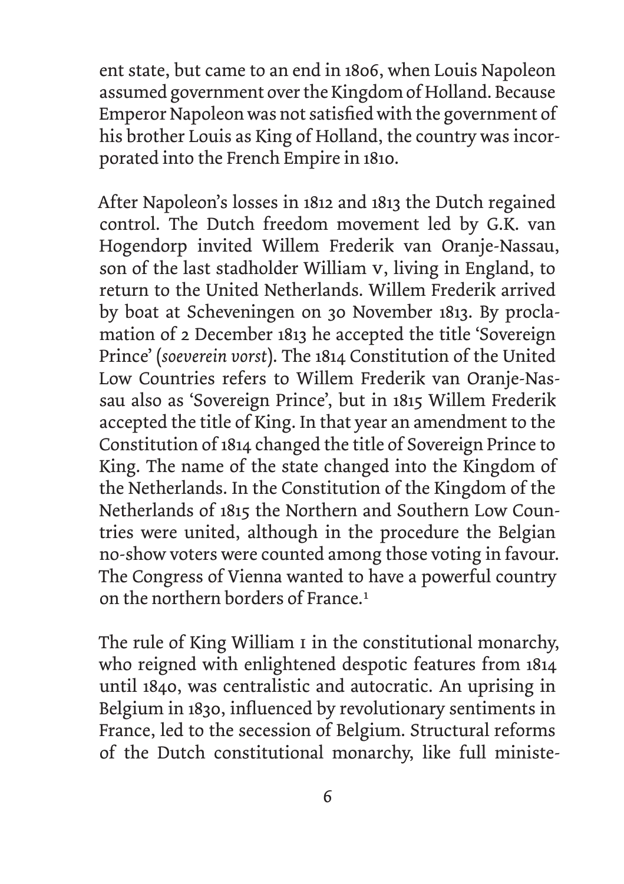ent state, but came to an end in 1806, when Louis Napoleon assumed government over the Kingdom of Holland. Because Emperor Napoleon was not satisfied with the government of his brother Louis as King of Holland, the country was incorporated into the French Empire in 1810.

After Napoleon's losses in 1812 and 1813 the Dutch regained control. The Dutch freedom movement led by G.K. van Hogendorp invited Willem Frederik van Oranje-Nassau, son of the last stadholder William v, living in England, to return to the United Netherlands. Willem Frederik arrived by boat at Scheveningen on 30 November 1813. By proclamation of 2 December 1813 he accepted the title 'Sovereign Prince' (*soeverein vorst*). The 1814 Constitution of the United Low Countries refers to Willem Frederik van Oranje-Nassau also as 'Sovereign Prince', but in 1815 Willem Frederik accepted the title of King. In that year an amendment to the Constitution of 1814 changed the title of Sovereign Prince to King. The name of the state changed into the Kingdom of the Netherlands. In the Constitution of the Kingdom of the Netherlands of 1815 the Northern and Southern Low Countries were united, although in the procedure the Belgian no-show voters were counted among those voting in favour. The Congress of Vienna wanted to have a powerful country on the northern borders of France.<sup>1</sup>

The rule of King William i in the constitutional monarchy, who reigned with enlightened despotic features from 1814 until 1840, was centralistic and autocratic. An uprising in Belgium in 1830, influenced by revolutionary sentiments in France, led to the secession of Belgium. Structural reforms of the Dutch constitutional monarchy, like full ministe-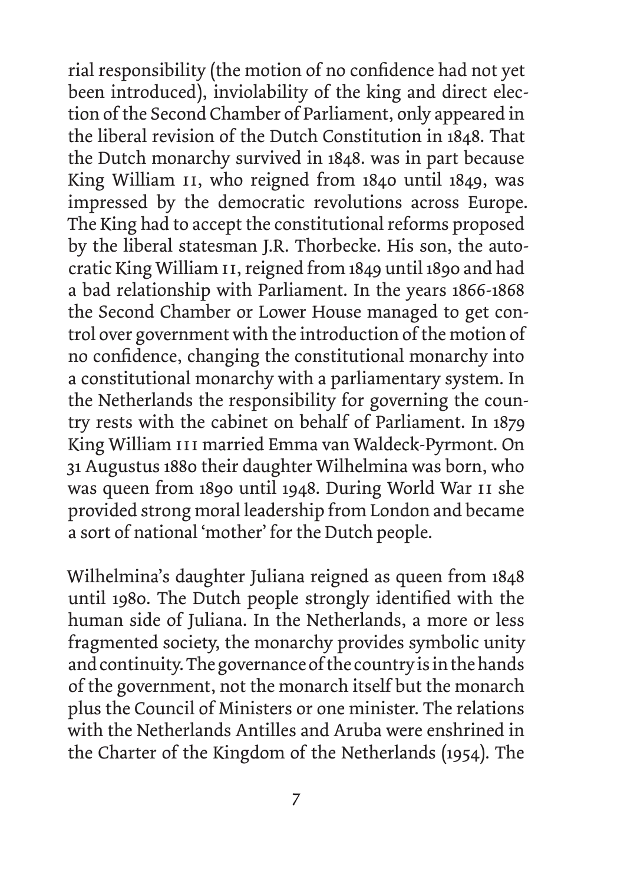rial responsibility (the motion of no confidence had not yet been introduced), inviolability of the king and direct election of the Second Chamber of Parliament, only appeared in the liberal revision of the Dutch Constitution in 1848. That the Dutch monarchy survived in 1848. was in part because King William II, who reigned from 1840 until 1849, was impressed by the democratic revolutions across Europe. The King had to accept the constitutional reforms proposed by the liberal statesman J.R. Thorbecke. His son, the autocratic King William ii, reigned from 1849 until 1890 and had a bad relationship with Parliament. In the years 1866-1868 the Second Chamber or Lower House managed to get control over government with the introduction of the motion of no confidence, changing the constitutional monarchy into a constitutional monarchy with a parliamentary system. In the Netherlands the responsibility for governing the country rests with the cabinet on behalf of Parliament. In 1879 King William III married Emma van Waldeck-Pyrmont. On 31 Augustus 1880 their daughter Wilhelmina was born, who was queen from 1890 until 1948. During World War ii she provided strong moral leadership from London and became a sort of national 'mother' for the Dutch people.

Wilhelmina's daughter Juliana reigned as queen from 1848 until 1980. The Dutch people strongly identified with the human side of Juliana. In the Netherlands, a more or less fragmented society, the monarchy provides symbolic unity and continuity. The governance of the country is in the hands of the government, not the monarch itself but the monarch plus the Council of Ministers or one minister. The relations with the Netherlands Antilles and Aruba were enshrined in the Charter of the Kingdom of the Netherlands (1954). The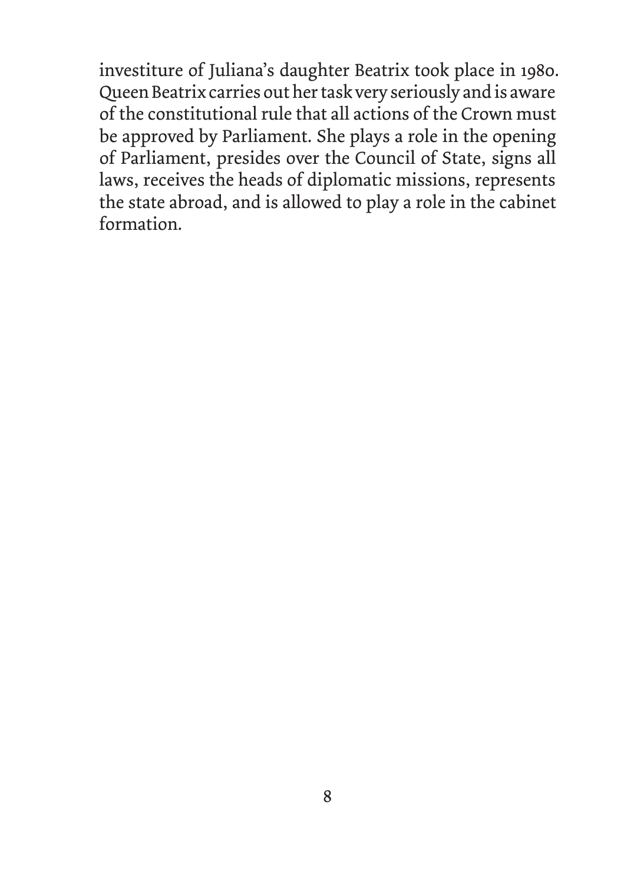investiture of Juliana's daughter Beatrix took place in 1980. Queen Beatrix carries out her task very seriously and is aware of the constitutional rule that all actions of the Crown must be approved by Parliament. She plays a role in the opening of Parliament, presides over the Council of State, signs all laws, receives the heads of diplomatic missions, represents the state abroad, and is allowed to play a role in the cabinet formation.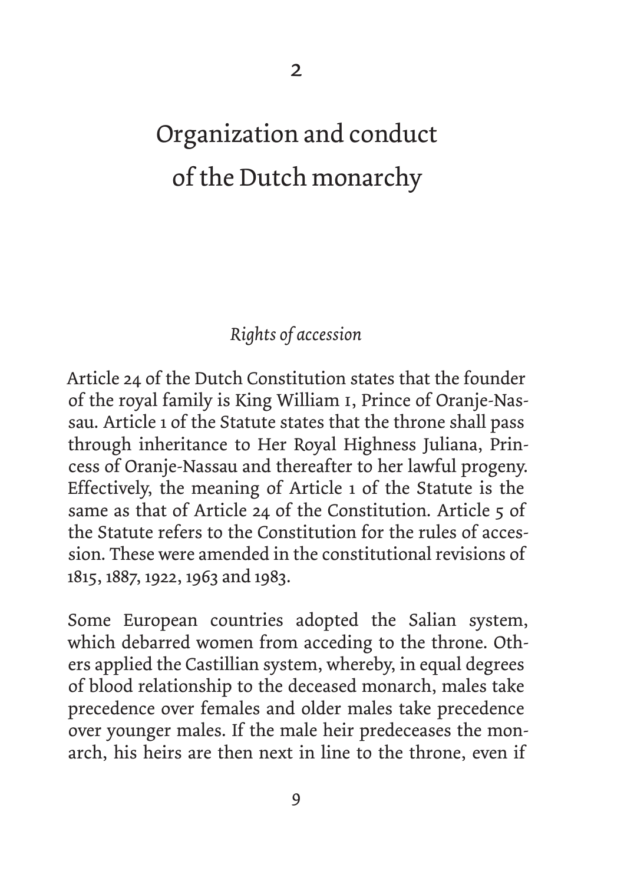## Organization and conduct of the Dutch monarchy

#### *Rights of accession*

Article 24 of the Dutch Constitution states that the founder of the royal family is King William i, Prince of Oranje-Nassau. Article 1 of the Statute states that the throne shall pass through inheritance to Her Royal Highness Juliana, Princess of Oranje-Nassau and thereafter to her lawful progeny. Effectively, the meaning of Article 1 of the Statute is the same as that of Article 24 of the Constitution. Article 5 of the Statute refers to the Constitution for the rules of accession. These were amended in the constitutional revisions of 1815, 1887, 1922, 1963 and 1983.

Some European countries adopted the Salian system, which debarred women from acceding to the throne. Others applied the Castillian system, whereby, in equal degrees of blood relationship to the deceased monarch, males take precedence over females and older males take precedence over younger males. If the male heir predeceases the monarch, his heirs are then next in line to the throne, even if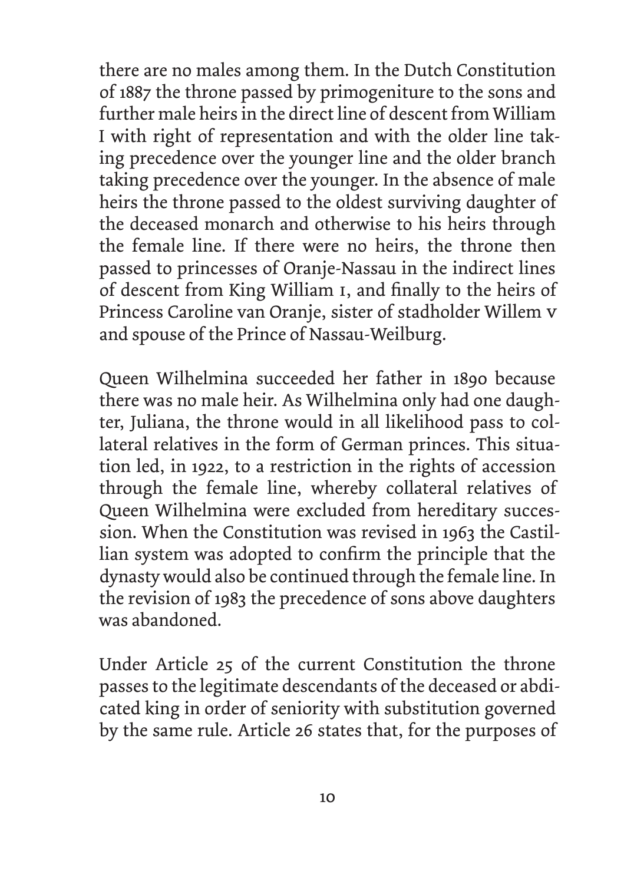there are no males among them. In the Dutch Constitution of 1887 the throne passed by primogeniture to the sons and further male heirs in the direct line of descent from William I with right of representation and with the older line taking precedence over the younger line and the older branch taking precedence over the younger. In the absence of male heirs the throne passed to the oldest surviving daughter of the deceased monarch and otherwise to his heirs through the female line. If there were no heirs, the throne then passed to princesses of Oranje-Nassau in the indirect lines of descent from King William i, and finally to the heirs of Princess Caroline van Oranje, sister of stadholder Willem v and spouse of the Prince of Nassau-Weilburg.

Queen Wilhelmina succeeded her father in 1890 because there was no male heir. As Wilhelmina only had one daughter, Juliana, the throne would in all likelihood pass to collateral relatives in the form of German princes. This situation led, in 1922, to a restriction in the rights of accession through the female line, whereby collateral relatives of Queen Wilhelmina were excluded from hereditary succession. When the Constitution was revised in 1963 the Castillian system was adopted to confirm the principle that the dynasty would also be continued through the female line. In the revision of 1983 the precedence of sons above daughters was abandoned.

Under Article 25 of the current Constitution the throne passes to the legitimate descendants of the deceased or abdicated king in order of seniority with substitution governed by the same rule. Article 26 states that, for the purposes of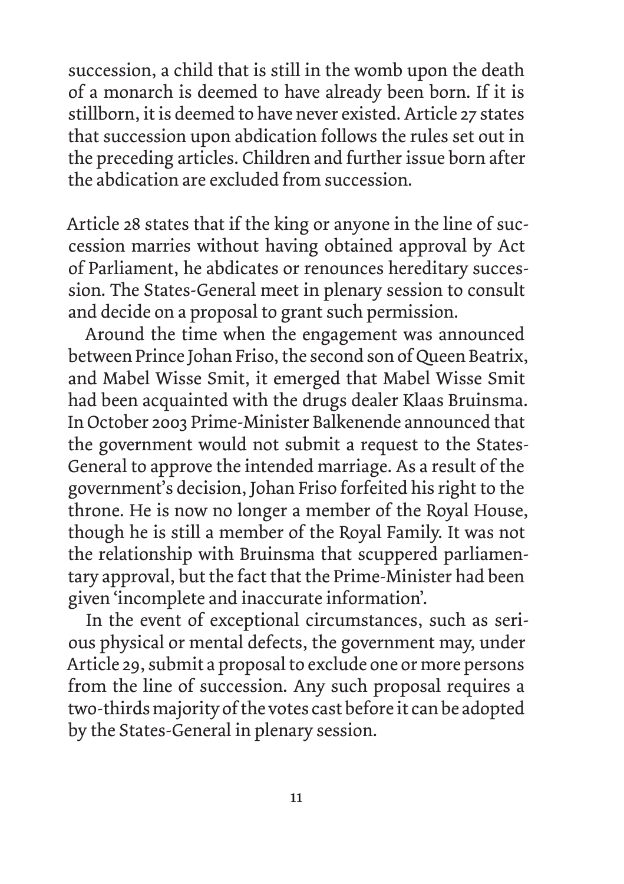succession, a child that is still in the womb upon the death of a monarch is deemed to have already been born. If it is stillborn, it is deemed to have never existed. Article 27 states that succession upon abdication follows the rules set out in the preceding articles. Children and further issue born after the abdication are excluded from succession.

Article 28 states that if the king or anyone in the line of succession marries without having obtained approval by Act of Parliament, he abdicates or renounces hereditary succession. The States-General meet in plenary session to consult and decide on a proposal to grant such permission.

Around the time when the engagement was announced between Prince Johan Friso, the second son of Queen Beatrix, and Mabel Wisse Smit, it emerged that Mabel Wisse Smit had been acquainted with the drugs dealer Klaas Bruinsma. In October 2003 Prime-Minister Balkenende announced that the government would not submit a request to the States-General to approve the intended marriage. As a result of the government's decision, Johan Friso forfeited his right to the throne. He is now no longer a member of the Royal House, though he is still a member of the Royal Family. It was not the relationship with Bruinsma that scuppered parliamentary approval, but the fact that the Prime-Minister had been given 'incomplete and inaccurate information'.

In the event of exceptional circumstances, such as serious physical or mental defects, the government may, under Article 29, submit a proposal to exclude one or more persons from the line of succession. Any such proposal requires a two-thirds majority of the votes cast before it can be adopted by the States-General in plenary session.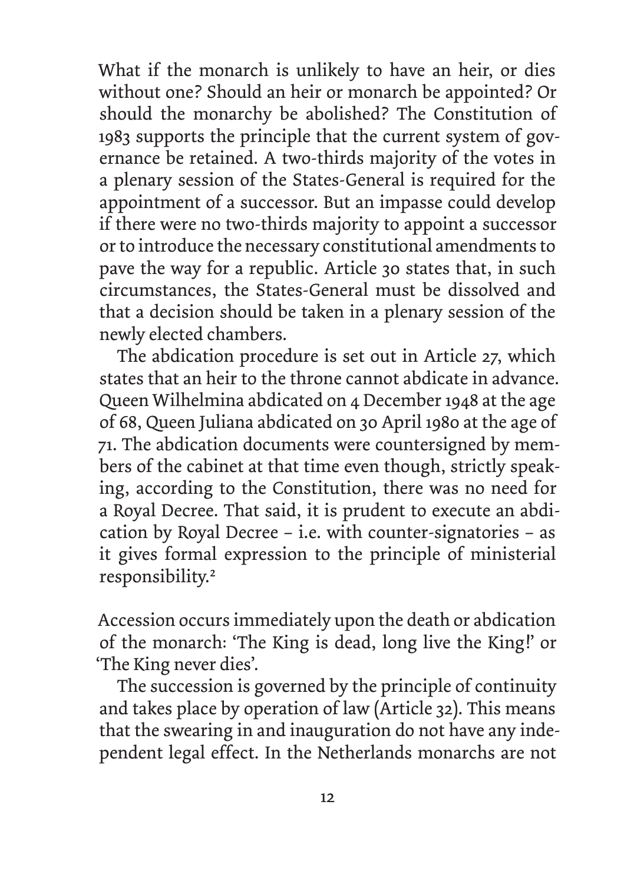What if the monarch is unlikely to have an heir, or dies without one? Should an heir or monarch be appointed? Or should the monarchy be abolished? The Constitution of 1983 supports the principle that the current system of governance be retained. A two-thirds majority of the votes in a plenary session of the States-General is required for the appointment of a successor. But an impasse could develop if there were no two-thirds majority to appoint a successor or to introduce the necessary constitutional amendments to pave the way for a republic. Article 30 states that, in such circumstances, the States-General must be dissolved and that a decision should be taken in a plenary session of the newly elected chambers.

 The abdication procedure is set out in Article 27, which states that an heir to the throne cannot abdicate in advance. Queen Wilhelmina abdicated on 4 December 1948 at the age of 68, Queen Juliana abdicated on 30 April 1980 at the age of 71. The abdication documents were countersigned by members of the cabinet at that time even though, strictly speaking, according to the Constitution, there was no need for a Royal Decree. That said, it is prudent to execute an abdication by Royal Decree – i.e. with counter-signatories – as it gives formal expression to the principle of ministerial responsibility.<sup>2</sup>

Accession occurs immediately upon the death or abdication of the monarch: 'The King is dead, long live the King!' or 'The King never dies'.

 The succession is governed by the principle of continuity and takes place by operation of law (Article 32). This means that the swearing in and inauguration do not have any independent legal effect. In the Netherlands monarchs are not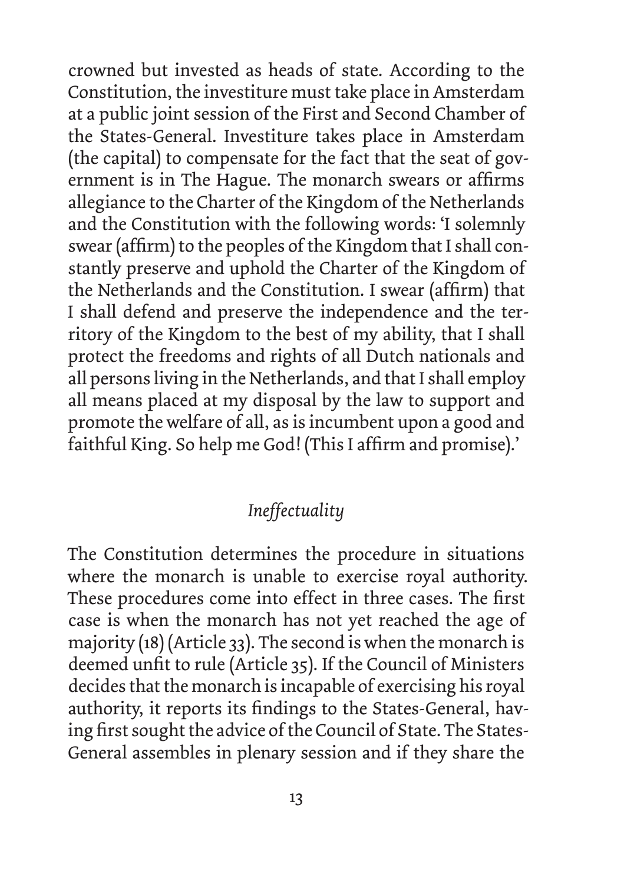crowned but invested as heads of state. According to the Constitution, the investiture must take place in Amsterdam at a public joint session of the First and Second Chamber of the States-General. Investiture takes place in Amsterdam (the capital) to compensate for the fact that the seat of government is in The Hague. The monarch swears or affirms allegiance to the Charter of the Kingdom of the Netherlands and the Constitution with the following words: 'I solemnly swear (affirm) to the peoples of the Kingdom that I shall constantly preserve and uphold the Charter of the Kingdom of the Netherlands and the Constitution. I swear (affirm) that I shall defend and preserve the independence and the territory of the Kingdom to the best of my ability, that I shall protect the freedoms and rights of all Dutch nationals and all persons living in the Netherlands, and that I shall employ all means placed at my disposal by the law to support and promote the welfare of all, as is incumbent upon a good and faithful King. So help me God! (This I affirm and promise).'

#### *Ineffectuality*

The Constitution determines the procedure in situations where the monarch is unable to exercise royal authority. These procedures come into effect in three cases. The first case is when the monarch has not yet reached the age of majority (18) (Article 33). The second is when the monarch is deemed unfit to rule (Article 35). If the Council of Ministers decides that the monarch is incapable of exercising his royal authority, it reports its findings to the States-General, having first sought the advice of the Council of State. The States-General assembles in plenary session and if they share the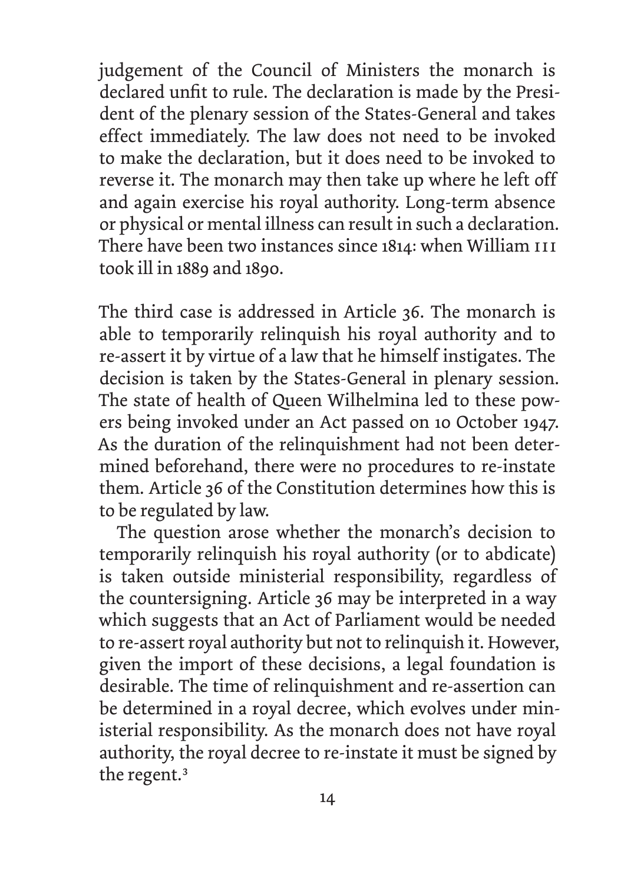judgement of the Council of Ministers the monarch is declared unfit to rule. The declaration is made by the President of the plenary session of the States-General and takes effect immediately. The law does not need to be invoked to make the declaration, but it does need to be invoked to reverse it. The monarch may then take up where he left off and again exercise his royal authority. Long-term absence or physical or mental illness can result in such a declaration. There have been two instances since 1814: when William III took ill in 1889 and 1890.

The third case is addressed in Article 36. The monarch is able to temporarily relinquish his royal authority and to re-assert it by virtue of a law that he himself instigates. The decision is taken by the States-General in plenary session. The state of health of Queen Wilhelmina led to these powers being invoked under an Act passed on 10 October 1947. As the duration of the relinquishment had not been determined beforehand, there were no procedures to re-instate them. Article 36 of the Constitution determines how this is to be regulated by law.

The question arose whether the monarch's decision to temporarily relinquish his royal authority (or to abdicate) is taken outside ministerial responsibility, regardless of the countersigning. Article 36 may be interpreted in a way which suggests that an Act of Parliament would be needed to re-assert royal authority but not to relinquish it. However, given the import of these decisions, a legal foundation is desirable. The time of relinquishment and re-assertion can be determined in a royal decree, which evolves under ministerial responsibility. As the monarch does not have royal authority, the royal decree to re-instate it must be signed by the regent.<sup>3</sup>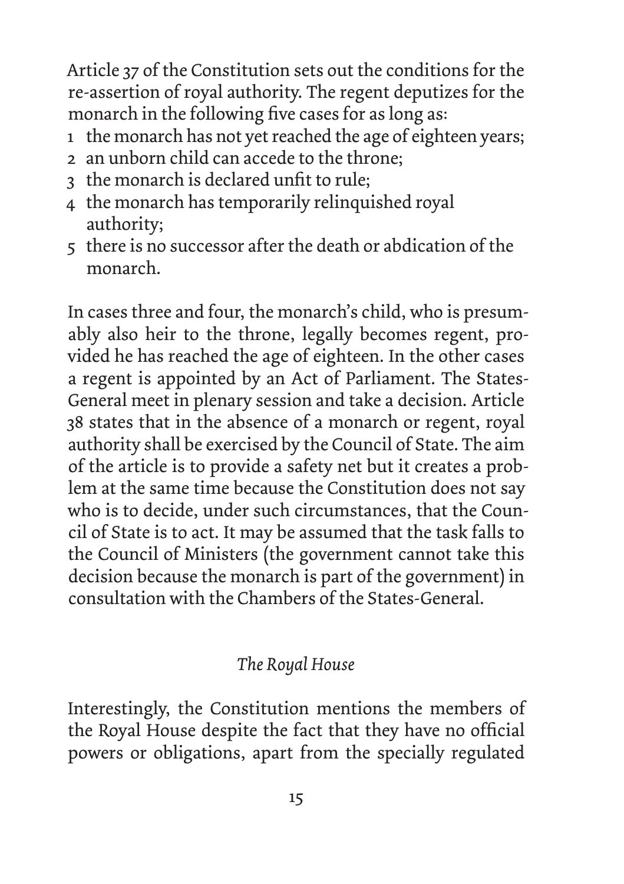Article 37 of the Constitution sets out the conditions for the re-assertion of royal authority. The regent deputizes for the monarch in the following five cases for as long as:

- 1 the monarch has not yet reached the age of eighteen years;
- 2 an unborn child can accede to the throne;
- 3 the monarch is declared unfit to rule;
- 4 the monarch has temporarily relinquished royal authority;
- 5 there is no successor after the death or abdication of the monarch.

In cases three and four, the monarch's child, who is presumably also heir to the throne, legally becomes regent, provided he has reached the age of eighteen. In the other cases a regent is appointed by an Act of Parliament. The States-General meet in plenary session and take a decision. Article 38 states that in the absence of a monarch or regent, royal authority shall be exercised by the Council of State. The aim of the article is to provide a safety net but it creates a problem at the same time because the Constitution does not say who is to decide, under such circumstances, that the Council of State is to act. It may be assumed that the task falls to the Council of Ministers (the government cannot take this decision because the monarch is part of the government) in consultation with the Chambers of the States-General.

#### *The Royal House*

Interestingly, the Constitution mentions the members of the Royal House despite the fact that they have no official powers or obligations, apart from the specially regulated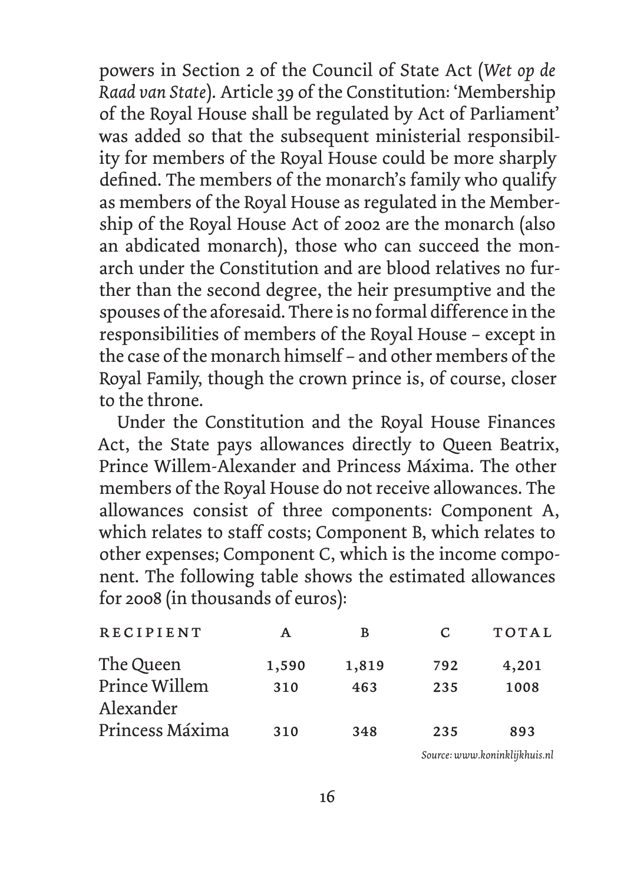powers in Section 2 of the Council of State Act (*Wet op de Raad van State*). Article 39 of the Constitution: 'Membership of the Royal House shall be regulated by Act of Parliament' was added so that the subsequent ministerial responsibility for members of the Royal House could be more sharply defined. The members of the monarch's family who qualify as members of the Royal House as regulated in the Membership of the Royal House Act of 2002 are the monarch (also an abdicated monarch), those who can succeed the monarch under the Constitution and are blood relatives no further than the second degree, the heir presumptive and the spouses of the aforesaid. There is no formal difference in the responsibilities of members of the Royal House – except in the case of the monarch himself – and other members of the Royal Family, though the crown prince is, of course, closer to the throne.

 Under the Constitution and the Royal House Finances Act, the State pays allowances directly to Queen Beatrix, Prince Willem-Alexander and Princess Máxima. The other members of the Royal House do not receive allowances. The allowances consist of three components: Component A, which relates to staff costs; Component B, which relates to other expenses; Component C, which is the income component. The following table shows the estimated allowances for 2008 (in thousands of euros):

| <b>RECIPIENT</b>           | A     | В     | C   | TOTAL |
|----------------------------|-------|-------|-----|-------|
| The Queen                  | 1,590 | 1,819 | 792 | 4,201 |
| Prince Willem<br>Alexander | 310   | 463   | 235 | 1008  |
| Princess Máxima            | 310   | 348   | 235 | 893   |

*Source: www.koninklijkhuis.nl*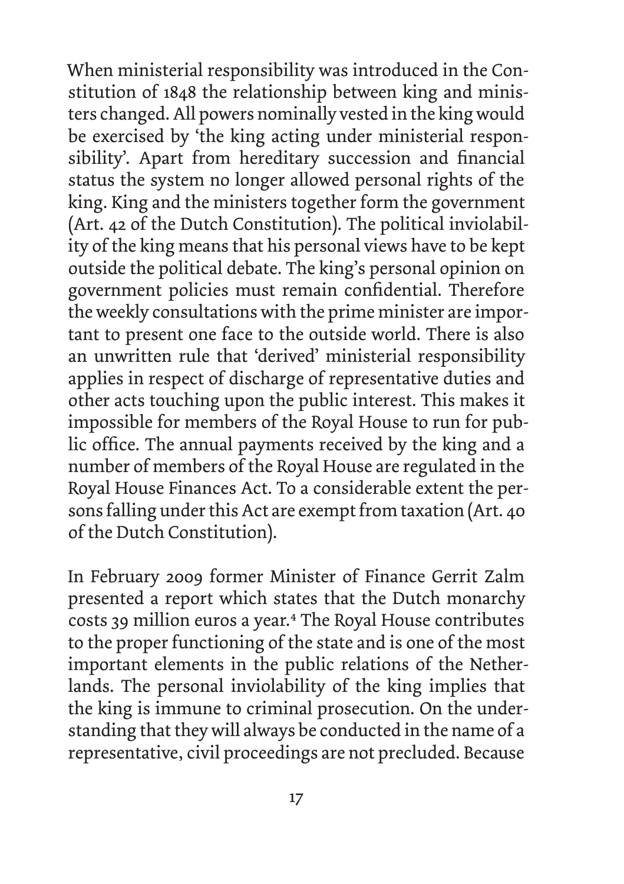When ministerial responsibility was introduced in the Constitution of 1848 the relationship between king and ministers changed. All powers nominally vested in the king would be exercised by 'the king acting under ministerial responsibility'. Apart from hereditary succession and financial status the system no longer allowed personal rights of the king. King and the ministers together form the government (Art. 42 of the Dutch Constitution). The political inviolability of the king means that his personal views have to be kept outside the political debate. The king's personal opinion on government policies must remain confidential. Therefore the weekly consultations with the prime minister are important to present one face to the outside world. There is also an unwritten rule that 'derived' ministerial responsibility applies in respect of discharge of representative duties and other acts touching upon the public interest. This makes it impossible for members of the Royal House to run for public office. The annual payments received by the king and a number of members of the Royal House are regulated in the Royal House Finances Act. To a considerable extent the persons falling under this Act are exempt from taxation (Art. 40 of the Dutch Constitution).

In February 2009 former Minister of Finance Gerrit Zalm presented a report which states that the Dutch monarchy costs 39 million euros a year.<sup>4</sup> The Royal House contributes to the proper functioning of the state and is one of the most important elements in the public relations of the Netherlands. The personal inviolability of the king implies that the king is immune to criminal prosecution. On the understanding that they will always be conducted in the name of a representative, civil proceedings are not precluded. Because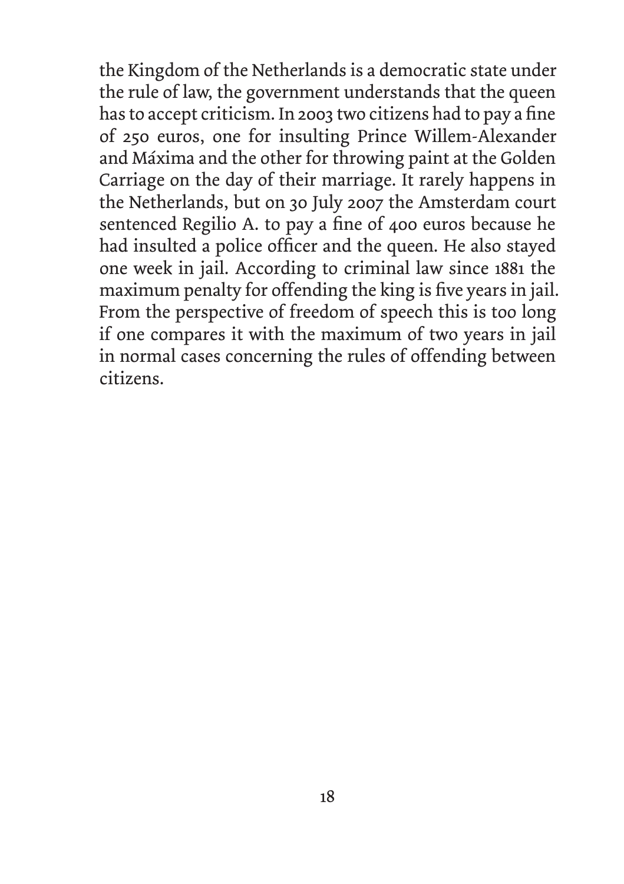the Kingdom of the Netherlands is a democratic state under the rule of law, the government understands that the queen has to accept criticism. In 2003 two citizens had to pay a fine of 250 euros, one for insulting Prince Willem-Alexander and Máxima and the other for throwing paint at the Golden Carriage on the day of their marriage. It rarely happens in the Netherlands, but on 30 July 2007 the Amsterdam court sentenced Regilio A. to pay a fine of 400 euros because he had insulted a police officer and the queen. He also stayed one week in jail. According to criminal law since 1881 the maximum penalty for offending the king is five years in jail. From the perspective of freedom of speech this is too long if one compares it with the maximum of two years in jail in normal cases concerning the rules of offending between citizens.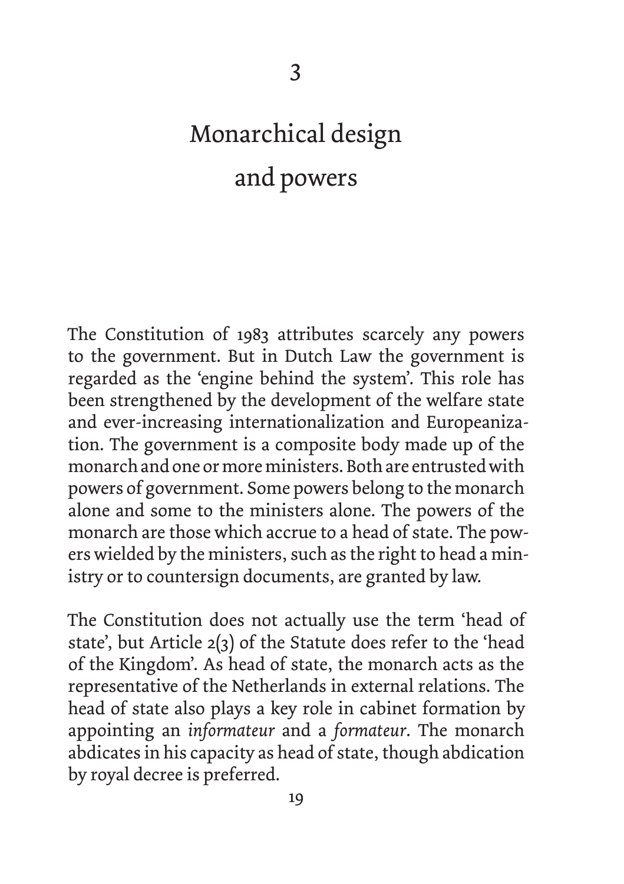## Monarchical design and powers

The Constitution of 1983 attributes scarcely any powers to the government. But in Dutch Law the government is regarded as the 'engine behind the system'. This role has been strengthened by the development of the welfare state and ever-increasing internationalization and Europeanization. The government is a composite body made up of the monarch and one or more ministers. Both are entrusted with powers of government. Some powers belong to the monarch alone and some to the ministers alone. The powers of the monarch are those which accrue to a head of state. The powers wielded by the ministers, such as the right to head a ministry or to countersign documents, are granted by law.

The Constitution does not actually use the term 'head of state', but Article 2(3) of the Statute does refer to the 'head of the Kingdom'. As head of state, the monarch acts as the representative of the Netherlands in external relations. The head of state also plays a key role in cabinet formation by appointing an *informateur* and a *formateur*. The monarch abdicates in his capacity as head of state, though abdication by royal decree is preferred.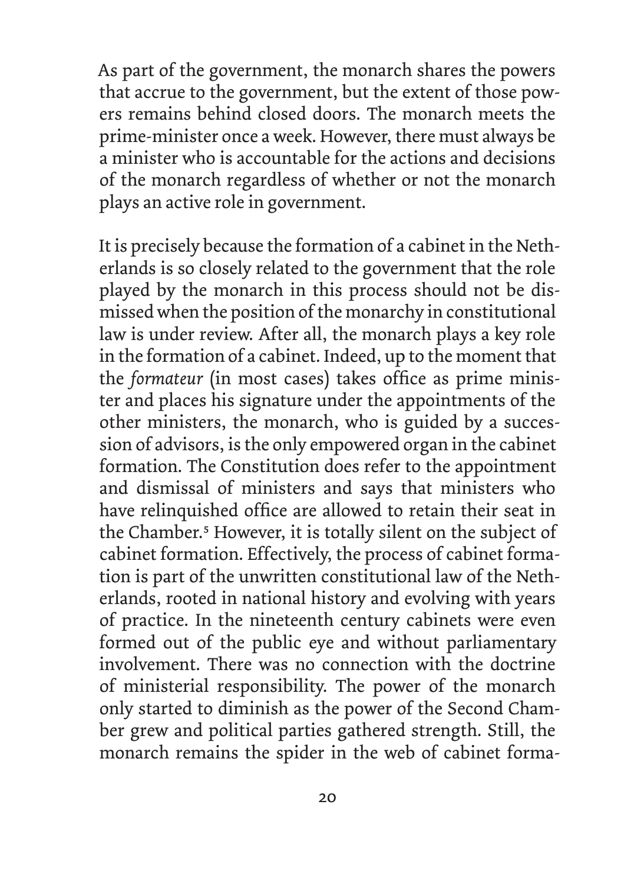As part of the government, the monarch shares the powers that accrue to the government, but the extent of those powers remains behind closed doors. The monarch meets the prime-minister once a week. However, there must always be a minister who is accountable for the actions and decisions of the monarch regardless of whether or not the monarch plays an active role in government.

It is precisely because the formation of a cabinet in the Netherlands is so closely related to the government that the role played by the monarch in this process should not be dismissed when the position of the monarchy in constitutional law is under review. After all, the monarch plays a key role in the formation of a cabinet. Indeed, up to the moment that the *formateur* (in most cases) takes office as prime minister and places his signature under the appointments of the other ministers, the monarch, who is guided by a succession of advisors, is the only empowered organ in the cabinet formation. The Constitution does refer to the appointment and dismissal of ministers and says that ministers who have relinquished office are allowed to retain their seat in the Chamber.<sup>5</sup> However, it is totally silent on the subject of cabinet formation. Effectively, the process of cabinet formation is part of the unwritten constitutional law of the Netherlands, rooted in national history and evolving with years of practice. In the nineteenth century cabinets were even formed out of the public eye and without parliamentary involvement. There was no connection with the doctrine of ministerial responsibility. The power of the monarch only started to diminish as the power of the Second Chamber grew and political parties gathered strength. Still, the monarch remains the spider in the web of cabinet forma-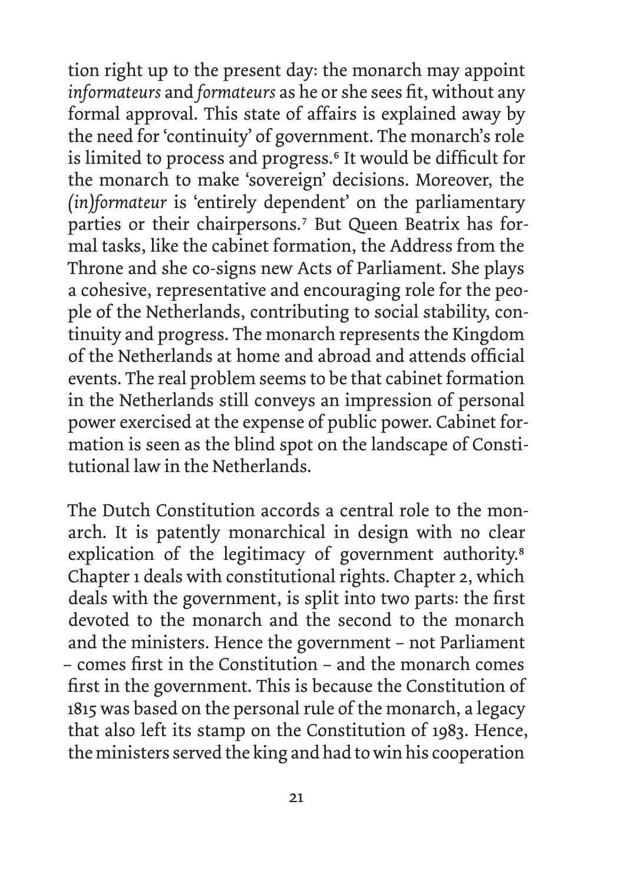tion right up to the present day: the monarch may appoint *informateurs* and *formateurs* as he or she sees fit, without any formal approval. This state of affairs is explained away by the need for 'continuity' of government. The monarch's role is limited to process and progress.<sup>6</sup> It would be difficult for the monarch to make 'sovereign' decisions. Moreover, the *(in)formateur* is 'entirely dependent' on the parliamentary parties or their chairpersons.<sup>7</sup> But Queen Beatrix has formal tasks, like the cabinet formation, the Address from the Throne and she co-signs new Acts of Parliament. She plays a cohesive, representative and encouraging role for the people of the Netherlands, contributing to social stability, continuity and progress. The monarch represents the Kingdom of the Netherlands at home and abroad and attends official events. The real problem seems to be that cabinet formation in the Netherlands still conveys an impression of personal power exercised at the expense of public power. Cabinet formation is seen as the blind spot on the landscape of Constitutional law in the Netherlands.

The Dutch Constitution accords a central role to the monarch. It is patently monarchical in design with no clear explication of the legitimacy of government authority.<sup>8</sup> Chapter 1 deals with constitutional rights. Chapter 2, which deals with the government, is split into two parts: the first devoted to the monarch and the second to the monarch and the ministers. Hence the government – not Parliament – comes first in the Constitution – and the monarch comes first in the government. This is because the Constitution of 1815 was based on the personal rule of the monarch, a legacy that also left its stamp on the Constitution of 1983. Hence, the ministers served the king and had to win his cooperation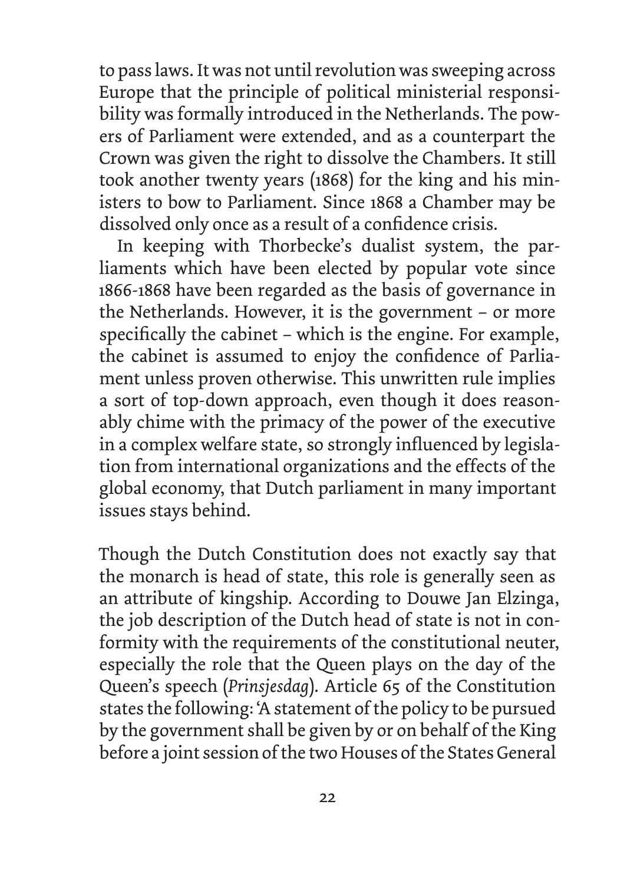to pass laws. It was not until revolution was sweeping across Europe that the principle of political ministerial responsibility was formally introduced in the Netherlands. The powers of Parliament were extended, and as a counterpart the Crown was given the right to dissolve the Chambers. It still took another twenty years (1868) for the king and his ministers to bow to Parliament. Since 1868 a Chamber may be dissolved only once as a result of a confidence crisis.

 In keeping with Thorbecke's dualist system, the parliaments which have been elected by popular vote since 1866-1868 have been regarded as the basis of governance in the Netherlands. However, it is the government – or more specifically the cabinet – which is the engine. For example, the cabinet is assumed to enjoy the confidence of Parliament unless proven otherwise. This unwritten rule implies a sort of top-down approach, even though it does reasonably chime with the primacy of the power of the executive in a complex welfare state, so strongly influenced by legislation from international organizations and the effects of the global economy, that Dutch parliament in many important issues stays behind.

Though the Dutch Constitution does not exactly say that the monarch is head of state, this role is generally seen as an attribute of kingship. According to Douwe Jan Elzinga, the job description of the Dutch head of state is not in conformity with the requirements of the constitutional neuter, especially the role that the Queen plays on the day of the Queen's speech (*Prinsjesdag*). Article 65 of the Constitution states the following: 'A statement of the policy to be pursued by the government shall be given by or on behalf of the King before a joint session of the two Houses of the States General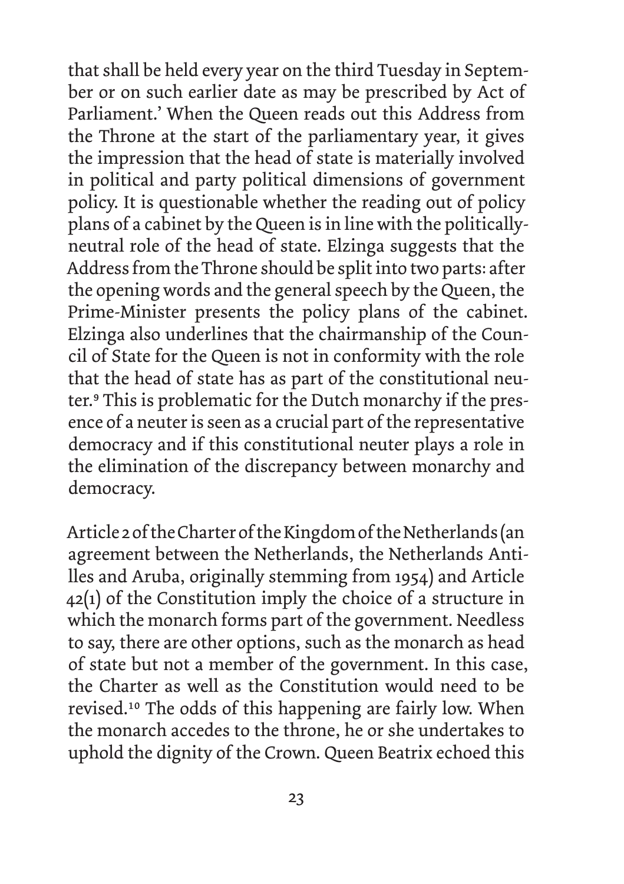that shall be held every year on the third Tuesday in September or on such earlier date as may be prescribed by Act of Parliament.' When the Queen reads out this Address from the Throne at the start of the parliamentary year, it gives the impression that the head of state is materially involved in political and party political dimensions of government policy. It is questionable whether the reading out of policy plans of a cabinet by the Queen is in line with the politicallyneutral role of the head of state. Elzinga suggests that the Address from the Throne should be split into two parts: after the opening words and the general speech by the Queen, the Prime-Minister presents the policy plans of the cabinet. Elzinga also underlines that the chairmanship of the Council of State for the Queen is not in conformity with the role that the head of state has as part of the constitutional neuter.<sup>9</sup> This is problematic for the Dutch monarchy if the presence of a neuter is seen as a crucial part of the representative democracy and if this constitutional neuter plays a role in the elimination of the discrepancy between monarchy and democracy.

Article 2 of the Charter of the Kingdom of the Netherlands (an agreement between the Netherlands, the Netherlands Antilles and Aruba, originally stemming from 1954) and Article 42(1) of the Constitution imply the choice of a structure in which the monarch forms part of the government. Needless to say, there are other options, such as the monarch as head of state but not a member of the government. In this case, the Charter as well as the Constitution would need to be revised.<sup>10</sup> The odds of this happening are fairly low. When the monarch accedes to the throne, he or she undertakes to uphold the dignity of the Crown. Queen Beatrix echoed this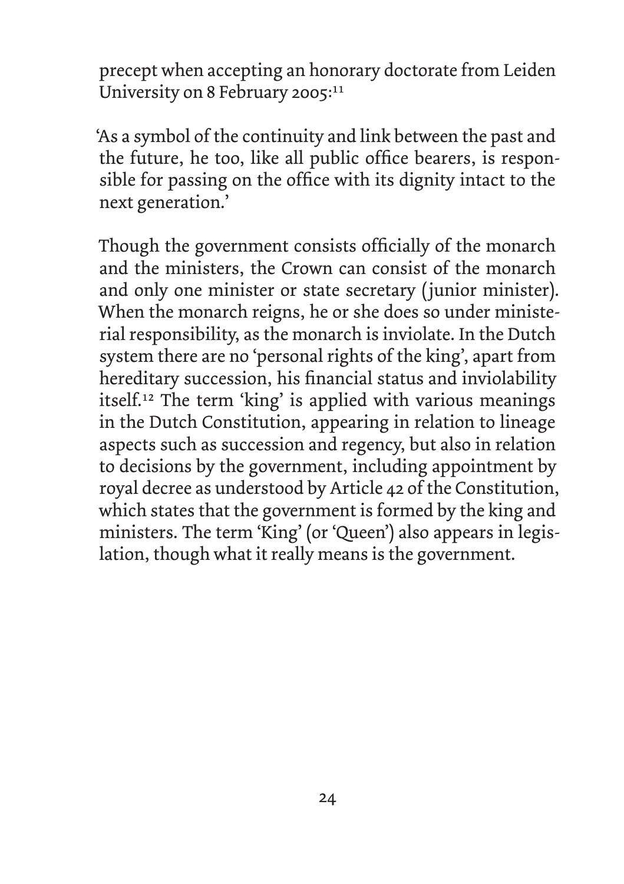precept when accepting an honorary doctorate from Leiden University on 8 February 2005:<sup>11</sup>

'As a symbol of the continuity and link between the past and the future, he too, like all public office bearers, is responsible for passing on the office with its dignity intact to the next generation.'

Though the government consists officially of the monarch and the ministers, the Crown can consist of the monarch and only one minister or state secretary (junior minister). When the monarch reigns, he or she does so under ministerial responsibility, as the monarch is inviolate. In the Dutch system there are no 'personal rights of the king', apart from hereditary succession, his financial status and inviolability itself.<sup>12</sup> The term 'king' is applied with various meanings in the Dutch Constitution, appearing in relation to lineage aspects such as succession and regency, but also in relation to decisions by the government, including appointment by royal decree as understood by Article 42 of the Constitution, which states that the government is formed by the king and ministers. The term 'King' (or 'Queen') also appears in legislation, though what it really means is the government.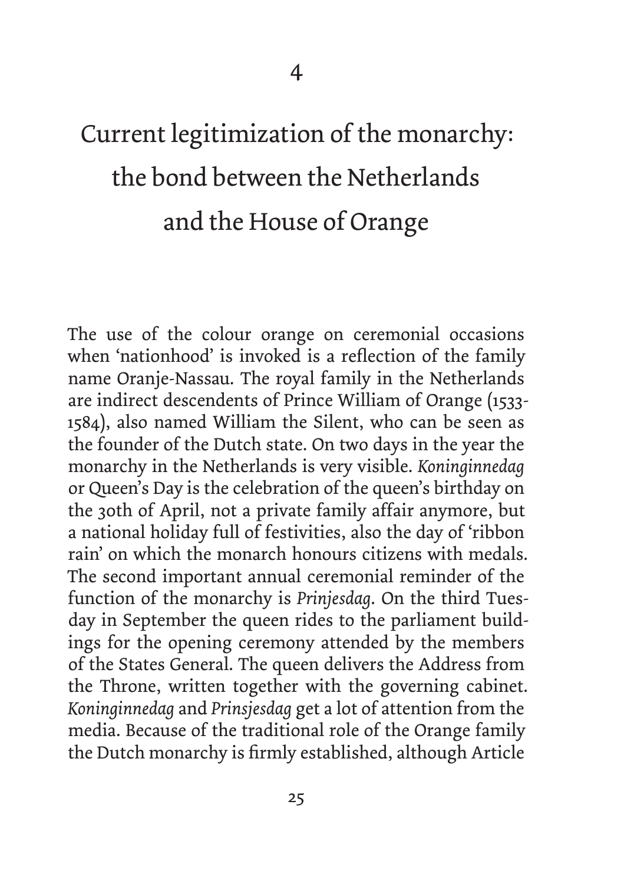## Current legitimization of the monarchy: the bond between the Netherlands and the House of Orange

The use of the colour orange on ceremonial occasions when 'nationhood' is invoked is a reflection of the family name Oranje-Nassau. The royal family in the Netherlands are indirect descendents of Prince William of Orange (1533- 1584), also named William the Silent, who can be seen as the founder of the Dutch state. On two days in the year the monarchy in the Netherlands is very visible. *Koninginnedag*  or Queen's Day is the celebration of the queen's birthday on the 30th of April, not a private family affair anymore, but a national holiday full of festivities, also the day of 'ribbon rain' on which the monarch honours citizens with medals. The second important annual ceremonial reminder of the function of the monarchy is *Prinjesdag*. On the third Tuesday in September the queen rides to the parliament buildings for the opening ceremony attended by the members of the States General. The queen delivers the Address from the Throne, written together with the governing cabinet. *Koninginnedag* and *Prinsjesdag* get a lot of attention from the media. Because of the traditional role of the Orange family the Dutch monarchy is firmly established, although Article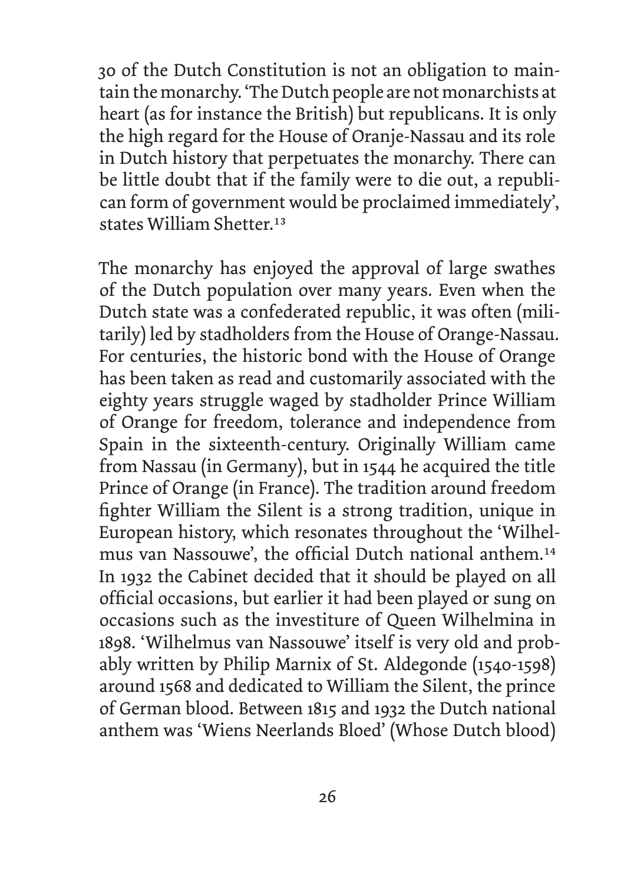30 of the Dutch Constitution is not an obligation to maintain the monarchy. 'The Dutch people are not monarchists at heart (as for instance the British) but republicans. It is only the high regard for the House of Oranje-Nassau and its role in Dutch history that perpetuates the monarchy. There can be little doubt that if the family were to die out, a republican form of government would be proclaimed immediately', states William Shetter.<sup>13</sup>

The monarchy has enjoyed the approval of large swathes of the Dutch population over many years. Even when the Dutch state was a confederated republic, it was often (militarily) led by stadholders from the House of Orange-Nassau. For centuries, the historic bond with the House of Orange has been taken as read and customarily associated with the eighty years struggle waged by stadholder Prince William of Orange for freedom, tolerance and independence from Spain in the sixteenth-century. Originally William came from Nassau (in Germany), but in 1544 he acquired the title Prince of Orange (in France). The tradition around freedom fighter William the Silent is a strong tradition, unique in European history, which resonates throughout the 'Wilhelmus van Nassouwe', the official Dutch national anthem.<sup>14</sup> In 1932 the Cabinet decided that it should be played on all official occasions, but earlier it had been played or sung on occasions such as the investiture of Queen Wilhelmina in 1898. 'Wilhelmus van Nassouwe' itself is very old and probably written by Philip Marnix of St. Aldegonde (1540-1598) around 1568 and dedicated to William the Silent, the prince of German blood. Between 1815 and 1932 the Dutch national anthem was 'Wiens Neerlands Bloed' (Whose Dutch blood)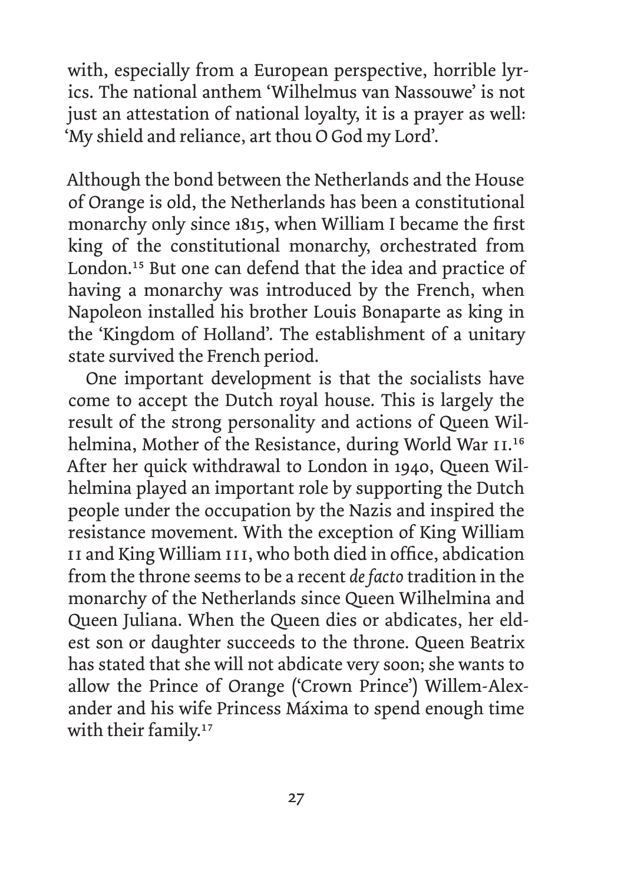with, especially from a European perspective, horrible lyrics. The national anthem 'Wilhelmus van Nassouwe' is not just an attestation of national lovalty, it is a prayer as well: 'My shield and reliance, art thou O God my Lord'.

Although the bond between the Netherlands and the House of Orange is old, the Netherlands has been a constitutional monarchy only since 1815, when William I became the first king of the constitutional monarchy, orchestrated from London.<sup>15</sup> But one can defend that the idea and practice of having a monarchy was introduced by the French, when Napoleon installed his brother Louis Bonaparte as king in the 'Kingdom of Holland'. The establishment of a unitary state survived the French period.

 One important development is that the socialists have come to accept the Dutch royal house. This is largely the result of the strong personality and actions of Queen Wilhelmina, Mother of the Resistance, during World War II.<sup>16</sup> After her quick withdrawal to London in 1940, Queen Wilhelmina played an important role by supporting the Dutch people under the occupation by the Nazis and inspired the resistance movement. With the exception of King William II and King William III, who both died in office, abdication from the throne seems to be a recent *de facto* tradition in the monarchy of the Netherlands since Queen Wilhelmina and Queen Juliana. When the Queen dies or abdicates, her eldest son or daughter succeeds to the throne. Queen Beatrix has stated that she will not abdicate very soon; she wants to allow the Prince of Orange ('Crown Prince') Willem-Alexander and his wife Princess Máxima to spend enough time with their family.<sup>17</sup>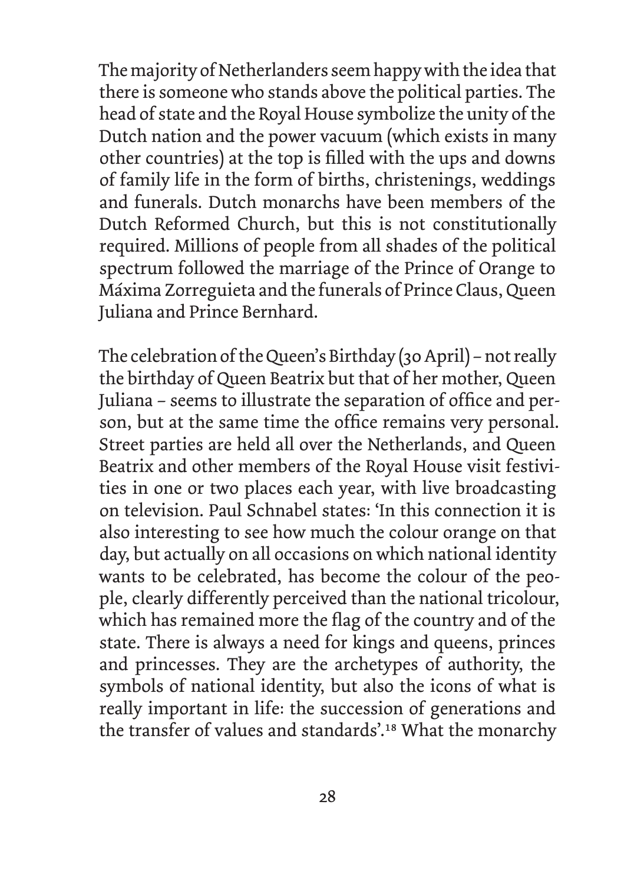The majority of Netherlanders seem happy with the idea that there is someone who stands above the political parties. The head of state and the Royal House symbolize the unity of the Dutch nation and the power vacuum (which exists in many other countries) at the top is filled with the ups and downs of family life in the form of births, christenings, weddings and funerals. Dutch monarchs have been members of the Dutch Reformed Church, but this is not constitutionally required. Millions of people from all shades of the political spectrum followed the marriage of the Prince of Orange to Máxima Zorreguieta and the funerals of Prince Claus, Queen Juliana and Prince Bernhard.

The celebration of the Queen's Birthday (30 April) – not really the birthday of Queen Beatrix but that of her mother, Queen Juliana – seems to illustrate the separation of office and person, but at the same time the office remains very personal. Street parties are held all over the Netherlands, and Queen Beatrix and other members of the Royal House visit festivities in one or two places each year, with live broadcasting on television. Paul Schnabel states: 'In this connection it is also interesting to see how much the colour orange on that day, but actually on all occasions on which national identity wants to be celebrated, has become the colour of the people, clearly differently perceived than the national tricolour, which has remained more the flag of the country and of the state. There is always a need for kings and queens, princes and princesses. They are the archetypes of authority, the symbols of national identity, but also the icons of what is really important in life: the succession of generations and the transfer of values and standards'.<sup>18</sup> What the monarchy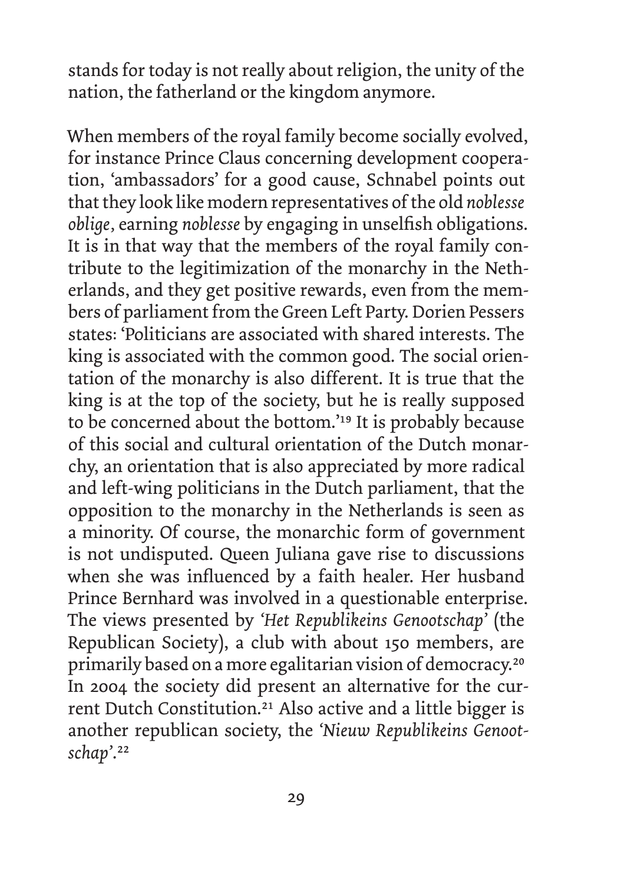stands for today is not really about religion, the unity of the nation, the fatherland or the kingdom anymore.

When members of the royal family become socially evolved, for instance Prince Claus concerning development cooperation, 'ambassadors' for a good cause, Schnabel points out that they look like modern representatives of the old *noblesse oblige,* earning *noblesse* by engaging in unselfish obligations. It is in that way that the members of the royal family contribute to the legitimization of the monarchy in the Netherlands, and they get positive rewards, even from the members of parliament from the Green Left Party. Dorien Pessers states: 'Politicians are associated with shared interests. The king is associated with the common good. The social orientation of the monarchy is also different. It is true that the king is at the top of the society, but he is really supposed to be concerned about the bottom.'<sup>19</sup> It is probably because of this social and cultural orientation of the Dutch monarchy, an orientation that is also appreciated by more radical and left-wing politicians in the Dutch parliament, that the opposition to the monarchy in the Netherlands is seen as a minority. Of course, the monarchic form of government is not undisputed. Queen Juliana gave rise to discussions when she was influenced by a faith healer. Her husband Prince Bernhard was involved in a questionable enterprise. The views presented by *'Het Republikeins Genootschap'* (the Republican Society), a club with about 150 members, are primarily based on a more egalitarian vision of democracy.<sup>20</sup> In 2004 the society did present an alternative for the current Dutch Constitution.<sup>21</sup> Also active and a little bigger is another republican society, the *'Nieuw Republikeins Genootschap'*. 22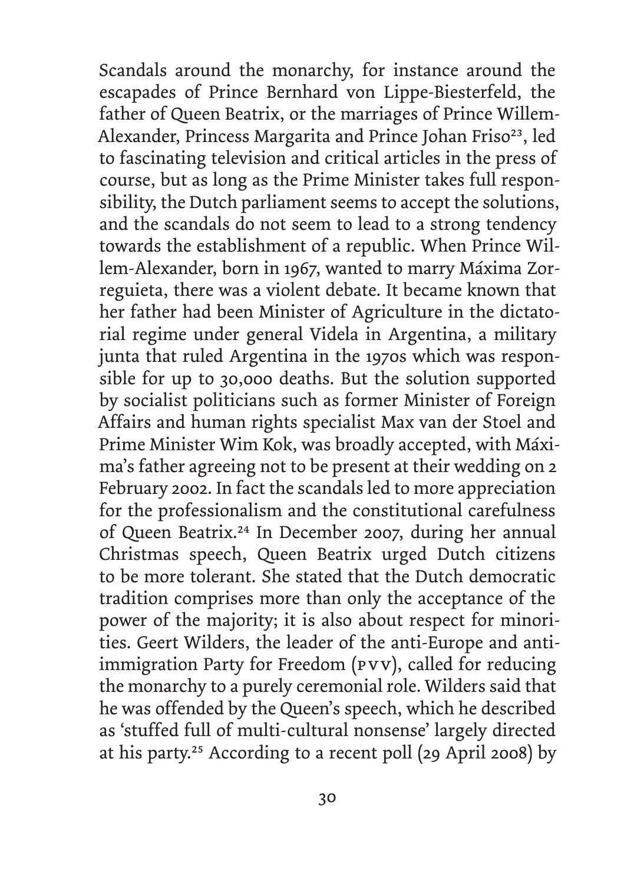Scandals around the monarchy, for instance around the escapades of Prince Bernhard von Lippe-Biesterfeld, the father of Queen Beatrix, or the marriages of Prince Willem-Alexander, Princess Margarita and Prince Johan Friso<sup>23</sup>, led to fascinating television and critical articles in the press of course, but as long as the Prime Minister takes full responsibility, the Dutch parliament seems to accept the solutions, and the scandals do not seem to lead to a strong tendency towards the establishment of a republic. When Prince Willem-Alexander, born in 1967, wanted to marry Máxima Zorreguieta, there was a violent debate. It became known that her father had been Minister of Agriculture in the dictatorial regime under general Videla in Argentina, a military junta that ruled Argentina in the 1970s which was responsible for up to 30,000 deaths. But the solution supported by socialist politicians such as former Minister of Foreign Affairs and human rights specialist Max van der Stoel and Prime Minister Wim Kok, was broadly accepted, with Máxima's father agreeing not to be present at their wedding on 2 February 2002. In fact the scandals led to more appreciation for the professionalism and the constitutional carefulness of Queen Beatrix.<sup>24</sup> In December 2007, during her annual Christmas speech, Queen Beatrix urged Dutch citizens to be more tolerant. She stated that the Dutch democratic tradition comprises more than only the acceptance of the power of the majority; it is also about respect for minorities. Geert Wilders, the leader of the anti-Europe and antiimmigration Party for Freedom (pvv), called for reducing the monarchy to a purely ceremonial role. Wilders said that he was offended by the Queen's speech, which he described as 'stuffed full of multi-cultural nonsense' largely directed at his party.<sup>25</sup> According to a recent poll (29 April 2008) by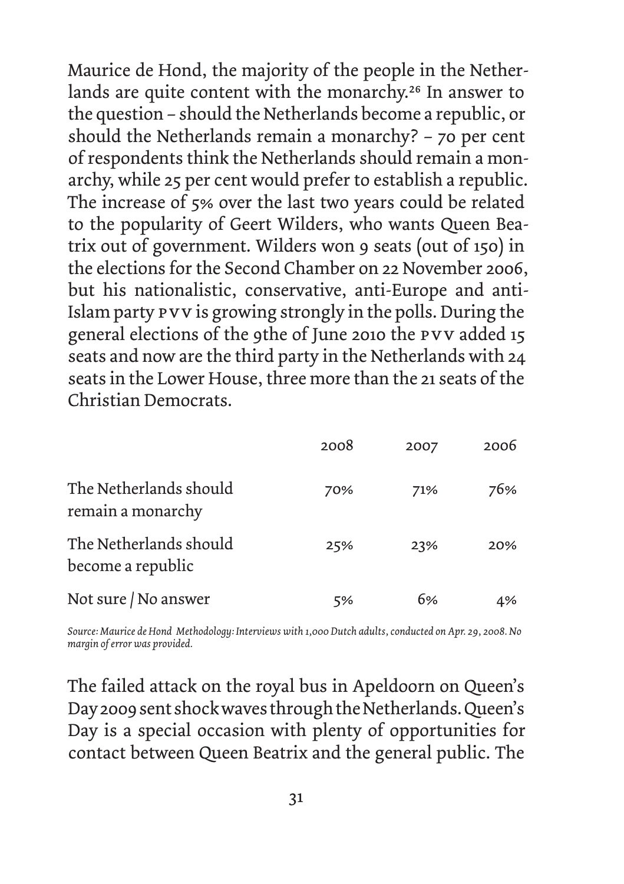Maurice de Hond, the majority of the people in the Netherlands are quite content with the monarchy.<sup>26</sup> In answer to the question – should the Netherlands become a republic, or should the Netherlands remain a monarchy? – 70 per cent of respondents think the Netherlands should remain a monarchy, while 25 per cent would prefer to establish a republic. The increase of 5% over the last two years could be related to the popularity of Geert Wilders, who wants Queen Beatrix out of government. Wilders won 9 seats (out of 150) in the elections for the Second Chamber on 22 November 2006, but his nationalistic, conservative, anti-Europe and anti-Islam party pvv is growing strongly in the polls. During the general elections of the 9the of June 2010 the pvv added 15 seats and now are the third party in the Netherlands with 24 seats in the Lower House, three more than the 21 seats of the Christian Democrats.

|                                             | 2008 | 2007 | 2006 |
|---------------------------------------------|------|------|------|
| The Netherlands should<br>remain a monarchy | 70%  | 71%  | 76%  |
| The Netherlands should<br>become a republic | 25%  | 23%  | 20%  |
| Not sure / No answer                        | 5%   | 6%   | 4%   |

*Source: Maurice de Hond Methodology: Interviews with 1,000 Dutch adults, conducted on Apr. 29, 2008. No margin of error was provided.*

The failed attack on the royal bus in Apeldoorn on Queen's Day 2009 sent shock waves through the Netherlands. Queen's Day is a special occasion with plenty of opportunities for contact between Queen Beatrix and the general public. The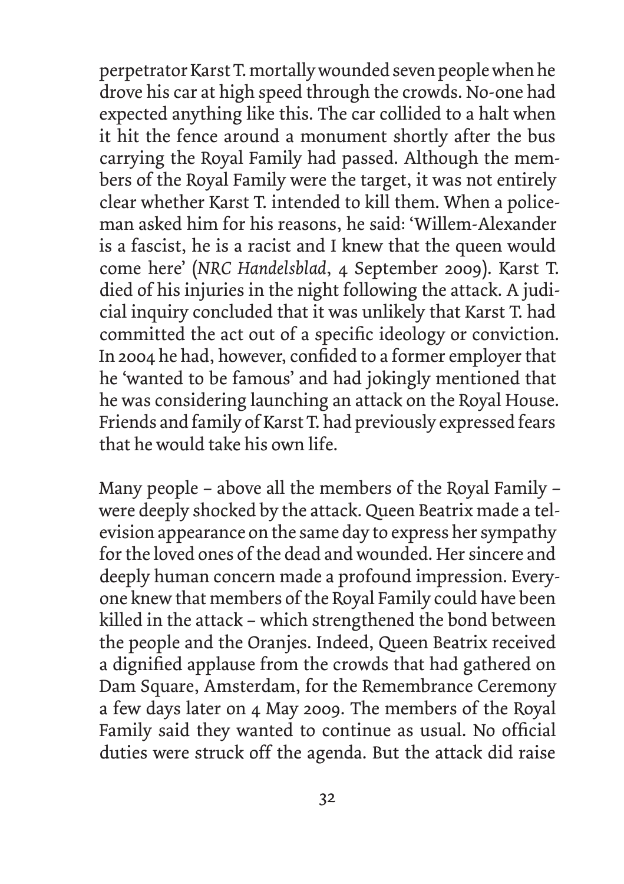perpetrator Karst T. mortally wounded seven people when he drove his car at high speed through the crowds. No-one had expected anything like this. The car collided to a halt when it hit the fence around a monument shortly after the bus carrying the Royal Family had passed. Although the members of the Royal Family were the target, it was not entirely clear whether Karst T. intended to kill them. When a policeman asked him for his reasons, he said: 'Willem-Alexander is a fascist, he is a racist and I knew that the queen would come here' (*NRC Handelsblad*, 4 September 2009). Karst T. died of his injuries in the night following the attack. A judicial inquiry concluded that it was unlikely that Karst T. had committed the act out of a specific ideology or conviction. In 2004 he had, however, confided to a former employer that he 'wanted to be famous' and had jokingly mentioned that he was considering launching an attack on the Royal House. Friends and family of Karst T. had previously expressed fears that he would take his own life.

Many people – above all the members of the Royal Family – were deeply shocked by the attack. Queen Beatrix made a television appearance on the same day to express her sympathy for the loved ones of the dead and wounded. Her sincere and deeply human concern made a profound impression. Everyone knew that members of the Royal Family could have been killed in the attack – which strengthened the bond between the people and the Oranjes. Indeed, Queen Beatrix received a dignified applause from the crowds that had gathered on Dam Square, Amsterdam, for the Remembrance Ceremony a few days later on 4 May 2009. The members of the Royal Family said they wanted to continue as usual. No official duties were struck off the agenda. But the attack did raise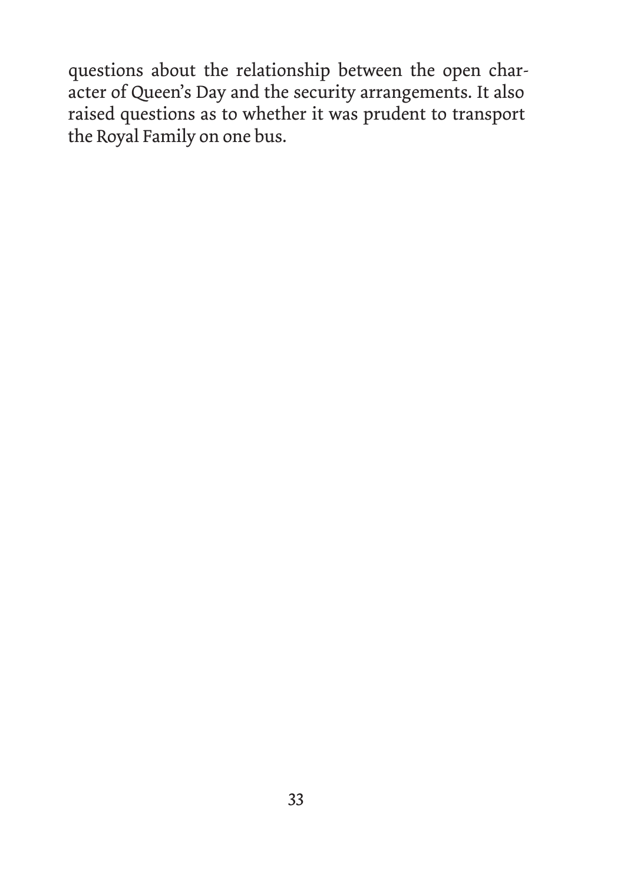questions about the relationship between the open character of Queen's Day and the security arrangements. It also raised questions as to whether it was prudent to transport the Royal Family on one bus.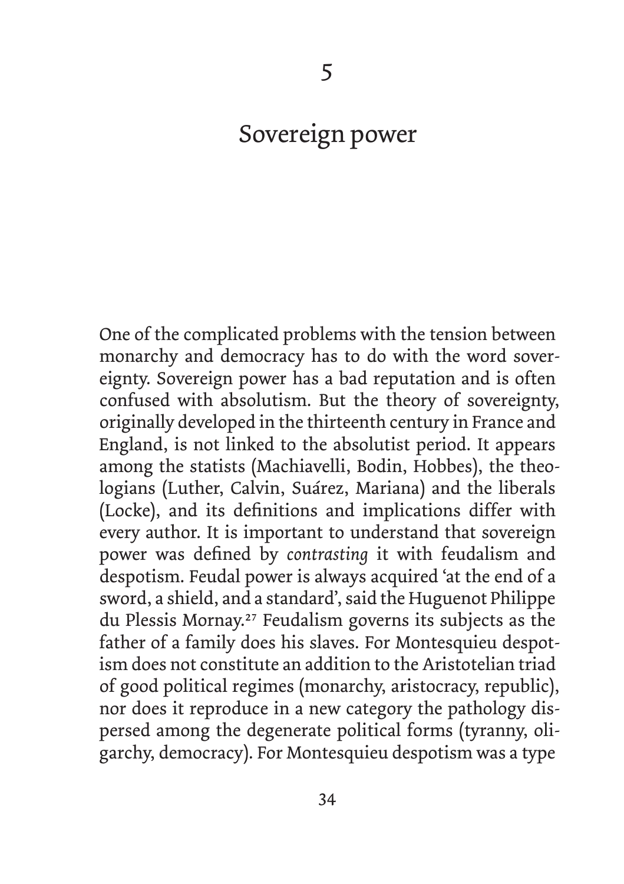#### Sovereign power

One of the complicated problems with the tension between monarchy and democracy has to do with the word sovereignty. Sovereign power has a bad reputation and is often confused with absolutism. But the theory of sovereignty, originally developed in the thirteenth century in France and England, is not linked to the absolutist period. It appears among the statists (Machiavelli, Bodin, Hobbes), the theologians (Luther, Calvin, Suárez, Mariana) and the liberals (Locke), and its definitions and implications differ with every author. It is important to understand that sovereign power was defined by *contrasting* it with feudalism and despotism. Feudal power is always acquired 'at the end of a sword, a shield, and a standard', said the Huguenot Philippe du Plessis Mornay.<sup>27</sup> Feudalism governs its subjects as the father of a family does his slaves. For Montesquieu despotism does not constitute an addition to the Aristotelian triad of good political regimes (monarchy, aristocracy, republic), nor does it reproduce in a new category the pathology dispersed among the degenerate political forms (tyranny, oligarchy, democracy). For Montesquieu despotism was a type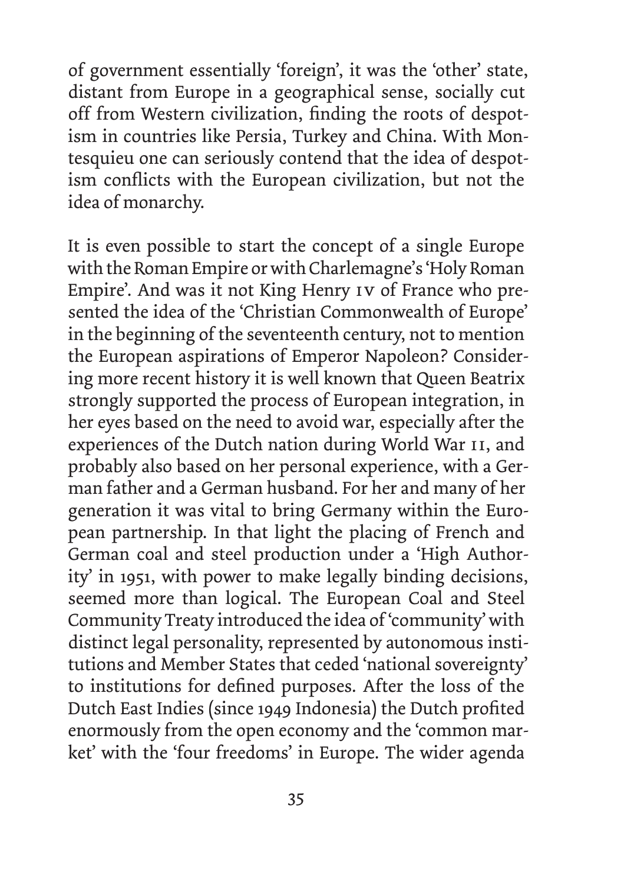of government essentially 'foreign', it was the 'other' state, distant from Europe in a geographical sense, socially cut off from Western civilization, finding the roots of despotism in countries like Persia, Turkey and China. With Montesquieu one can seriously contend that the idea of despotism conflicts with the European civilization, but not the idea of monarchy.

It is even possible to start the concept of a single Europe with the Roman Empire or with Charlemagne's 'Holy Roman Empire'. And was it not King Henry iv of France who presented the idea of the 'Christian Commonwealth of Europe' in the beginning of the seventeenth century, not to mention the European aspirations of Emperor Napoleon? Considering more recent history it is well known that Queen Beatrix strongly supported the process of European integration, in her eyes based on the need to avoid war, especially after the experiences of the Dutch nation during World War II, and probably also based on her personal experience, with a German father and a German husband. For her and many of her generation it was vital to bring Germany within the European partnership. In that light the placing of French and German coal and steel production under a 'High Authority' in 1951, with power to make legally binding decisions, seemed more than logical. The European Coal and Steel Community Treaty introduced the idea of 'community' with distinct legal personality, represented by autonomous institutions and Member States that ceded 'national sovereignty' to institutions for defined purposes. After the loss of the Dutch East Indies (since 1949 Indonesia) the Dutch profited enormously from the open economy and the 'common market' with the 'four freedoms' in Europe. The wider agenda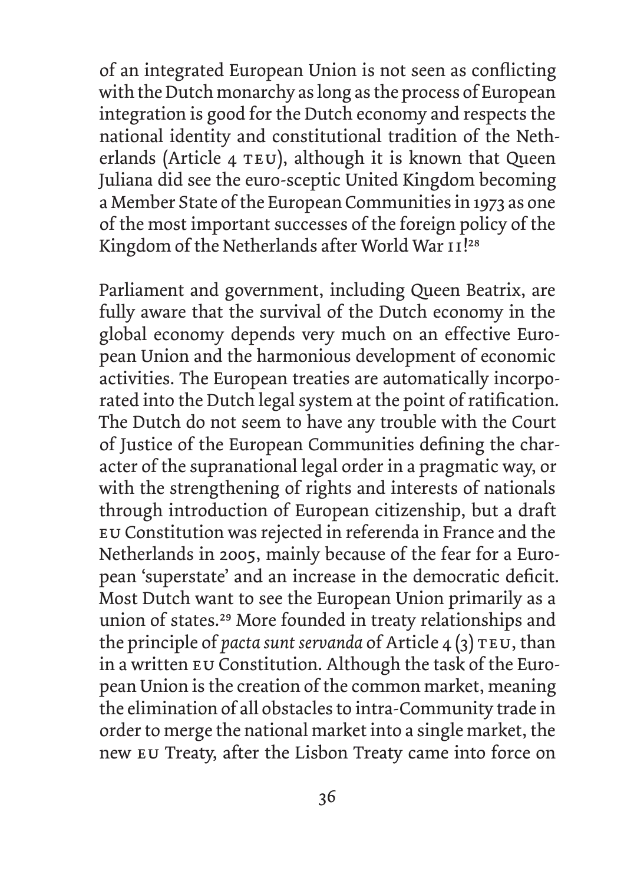of an integrated European Union is not seen as conflicting with the Dutch monarchy as long as the process of European integration is good for the Dutch economy and respects the national identity and constitutional tradition of the Netherlands (Article 4 TEU), although it is known that Queen Juliana did see the euro-sceptic United Kingdom becoming a Member State of the European Communities in 1973 as one of the most important successes of the foreign policy of the Kingdom of the Netherlands after World War II!28

Parliament and government, including Queen Beatrix, are fully aware that the survival of the Dutch economy in the global economy depends very much on an effective European Union and the harmonious development of economic activities. The European treaties are automatically incorporated into the Dutch legal system at the point of ratification. The Dutch do not seem to have any trouble with the Court of Justice of the European Communities defining the character of the supranational legal order in a pragmatic way, or with the strengthening of rights and interests of nationals through introduction of European citizenship, but a draft eu Constitution was rejected in referenda in France and the Netherlands in 2005, mainly because of the fear for a European 'superstate' and an increase in the democratic deficit. Most Dutch want to see the European Union primarily as a union of states.<sup>29</sup> More founded in treaty relationships and the principle of *pacta sunt servanda* of Article  $4(3)$  TEU, than in a written eu Constitution. Although the task of the European Union is the creation of the common market, meaning the elimination of all obstacles to intra-Community trade in order to merge the national market into a single market, the new eu Treaty, after the Lisbon Treaty came into force on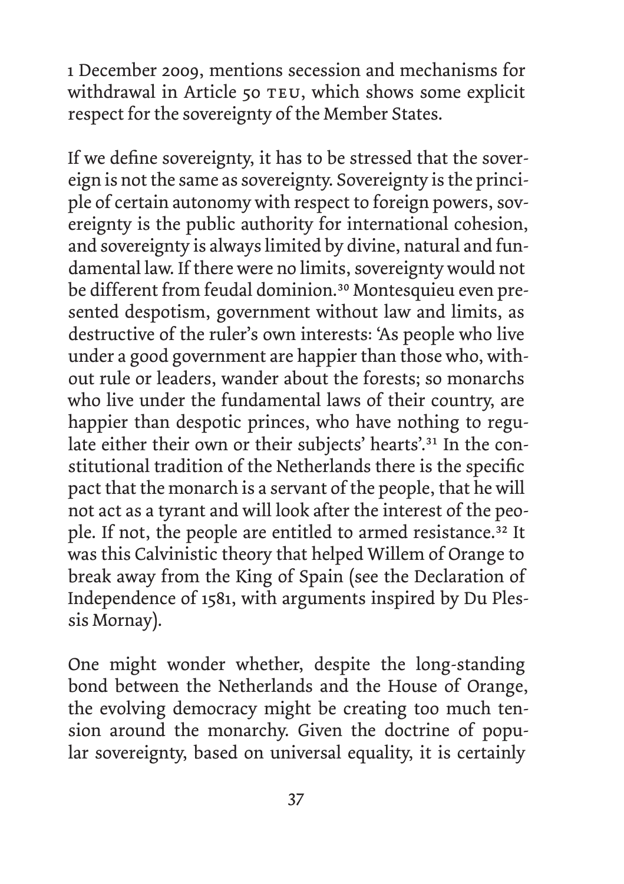1 December 2009, mentions secession and mechanisms for withdrawal in Article 50 TEU, which shows some explicit respect for the sovereignty of the Member States.

If we define sovereignty, it has to be stressed that the sovereign is not the same as sovereignty. Sovereignty is the principle of certain autonomy with respect to foreign powers, sovereignty is the public authority for international cohesion, and sovereignty is always limited by divine, natural and fundamental law. If there were no limits, sovereignty would not be different from feudal dominion.<sup>30</sup> Montesquieu even presented despotism, government without law and limits, as destructive of the ruler's own interests: 'As people who live under a good government are happier than those who, without rule or leaders, wander about the forests; so monarchs who live under the fundamental laws of their country, are happier than despotic princes, who have nothing to regulate either their own or their subjects' hearts'.<sup>31</sup> In the constitutional tradition of the Netherlands there is the specific pact that the monarch is a servant of the people, that he will not act as a tyrant and will look after the interest of the people. If not, the people are entitled to armed resistance.<sup>32</sup> It was this Calvinistic theory that helped Willem of Orange to break away from the King of Spain (see the Declaration of Independence of 1581, with arguments inspired by Du Plessis Mornay).

One might wonder whether, despite the long-standing bond between the Netherlands and the House of Orange, the evolving democracy might be creating too much tension around the monarchy. Given the doctrine of popular sovereignty, based on universal equality, it is certainly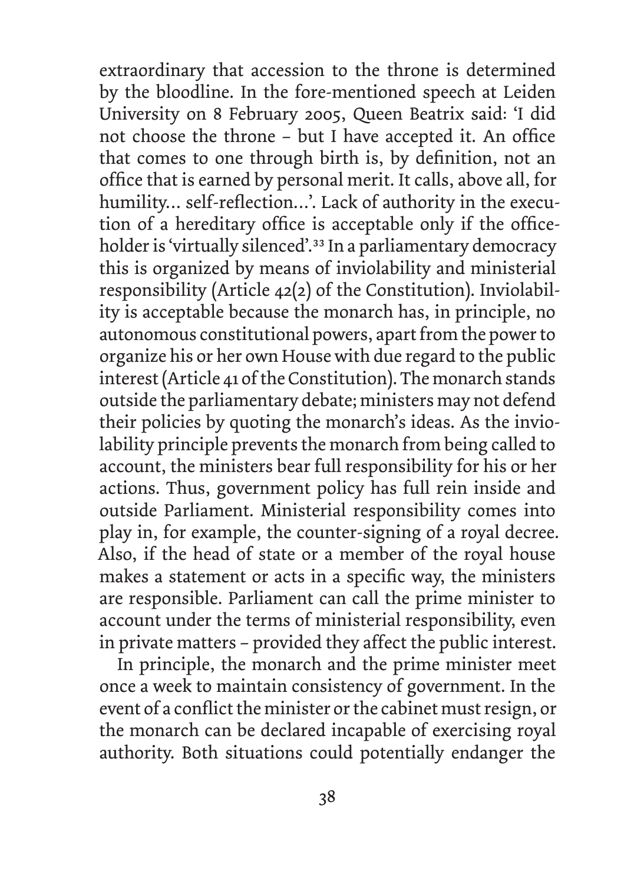extraordinary that accession to the throne is determined by the bloodline. In the fore-mentioned speech at Leiden University on 8 February 2005, Queen Beatrix said: 'I did not choose the throne – but I have accepted it. An office that comes to one through birth is, by definition, not an office that is earned by personal merit. It calls, above all, for humility… self-reflection…'. Lack of authority in the execution of a hereditary office is acceptable only if the officeholder is 'virtually silenced'.<sup>33</sup> In a parliamentary democracy this is organized by means of inviolability and ministerial responsibility (Article 42(2) of the Constitution). Inviolability is acceptable because the monarch has, in principle, no autonomous constitutional powers, apart from the power to organize his or her own House with due regard to the public interest (Article 41 of the Constitution). The monarch stands outside the parliamentary debate; ministers may not defend their policies by quoting the monarch's ideas. As the inviolability principle prevents the monarch from being called to account, the ministers bear full responsibility for his or her actions. Thus, government policy has full rein inside and outside Parliament. Ministerial responsibility comes into play in, for example, the counter-signing of a royal decree. Also, if the head of state or a member of the royal house makes a statement or acts in a specific way, the ministers are responsible. Parliament can call the prime minister to account under the terms of ministerial responsibility, even in private matters – provided they affect the public interest.

In principle, the monarch and the prime minister meet once a week to maintain consistency of government. In the event of a conflict the minister or the cabinet must resign, or the monarch can be declared incapable of exercising royal authority. Both situations could potentially endanger the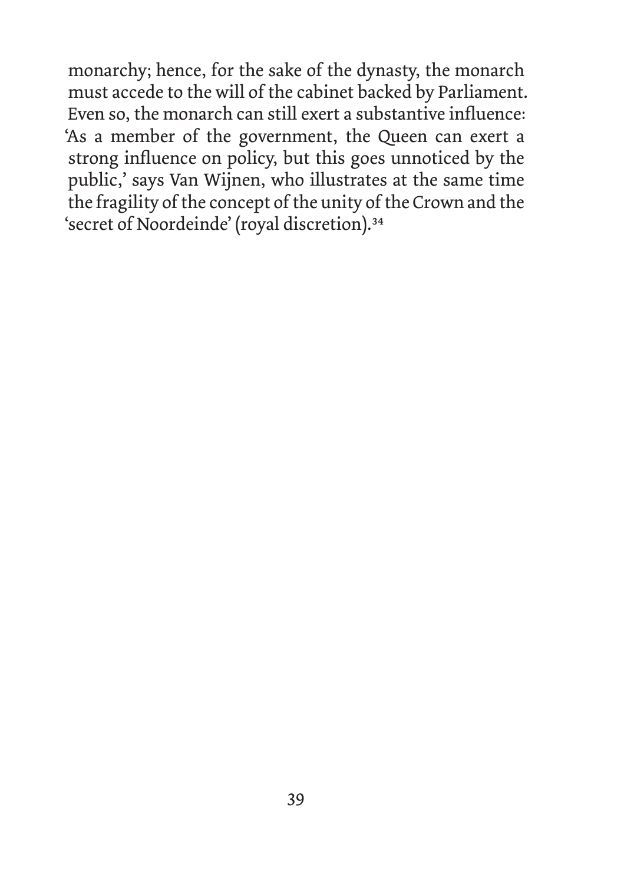monarchy; hence, for the sake of the dynasty, the monarch must accede to the will of the cabinet backed by Parliament. Even so, the monarch can still exert a substantive influence: 'As a member of the government, the Queen can exert a strong influence on policy, but this goes unnoticed by the public,' says Van Wijnen, who illustrates at the same time the fragility of the concept of the unity of the Crown and the 'secret of Noordeinde' (royal discretion).<sup>34</sup>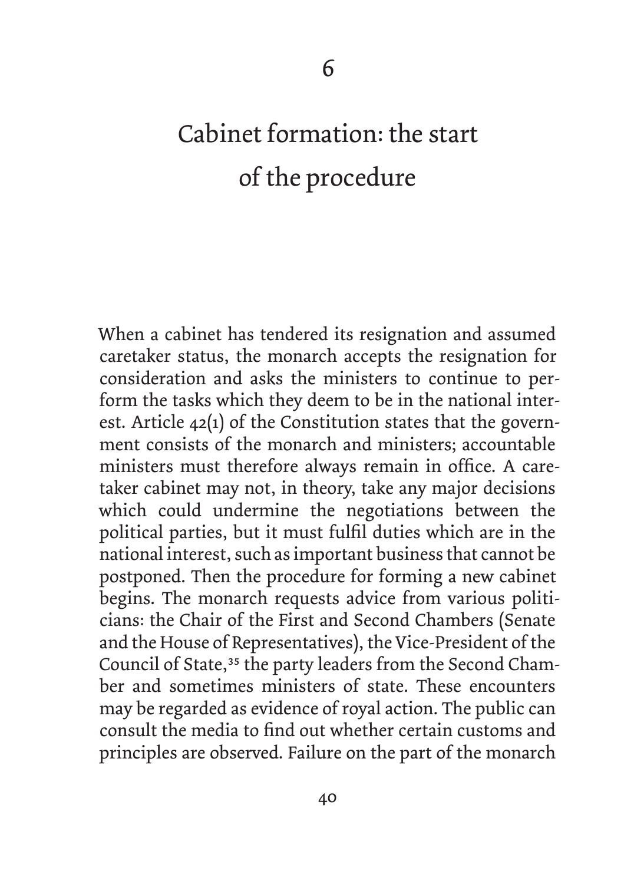## Cabinet formation: the start of the procedure

When a cabinet has tendered its resignation and assumed caretaker status, the monarch accepts the resignation for consideration and asks the ministers to continue to perform the tasks which they deem to be in the national interest. Article 42(1) of the Constitution states that the government consists of the monarch and ministers; accountable ministers must therefore always remain in office. A caretaker cabinet may not, in theory, take any major decisions which could undermine the negotiations between the political parties, but it must fulfil duties which are in the national interest, such as important business that cannot be postponed. Then the procedure for forming a new cabinet begins. The monarch requests advice from various politicians: the Chair of the First and Second Chambers (Senate and the House of Representatives), the Vice-President of the Council of State,<sup>35</sup> the party leaders from the Second Chamber and sometimes ministers of state. These encounters may be regarded as evidence of royal action. The public can consult the media to find out whether certain customs and principles are observed. Failure on the part of the monarch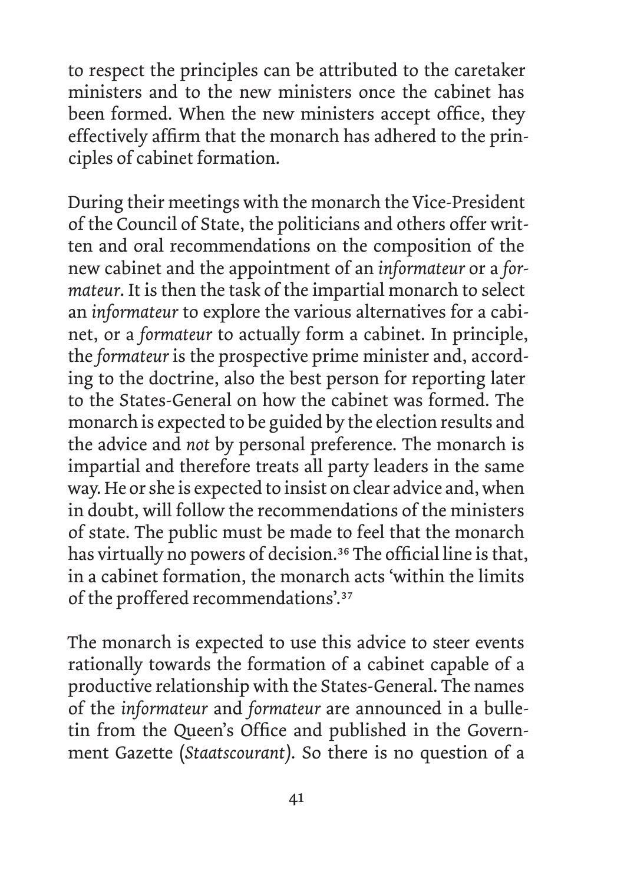to respect the principles can be attributed to the caretaker ministers and to the new ministers once the cabinet has been formed. When the new ministers accept office, they effectively affirm that the monarch has adhered to the principles of cabinet formation.

During their meetings with the monarch the Vice-President of the Council of State, the politicians and others offer written and oral recommendations on the composition of the new cabinet and the appointment of an *informateur* or a *formateur*. It is then the task of the impartial monarch to select an *informateur* to explore the various alternatives for a cabinet, or a *formateur* to actually form a cabinet. In principle, the *formateur* is the prospective prime minister and, according to the doctrine, also the best person for reporting later to the States-General on how the cabinet was formed. The monarch is expected to be guided by the election results and the advice and *not* by personal preference. The monarch is impartial and therefore treats all party leaders in the same way. He or she is expected to insist on clear advice and, when in doubt, will follow the recommendations of the ministers of state. The public must be made to feel that the monarch has virtually no powers of decision.<sup>36</sup> The official line is that, in a cabinet formation, the monarch acts 'within the limits of the proffered recommendations'.<sup>37</sup>

The monarch is expected to use this advice to steer events rationally towards the formation of a cabinet capable of a productive relationship with the States-General. The names of the *informateur* and *formateur* are announced in a bulletin from the Queen's Office and published in the Government Gazette (*Staatscourant)*. So there is no question of a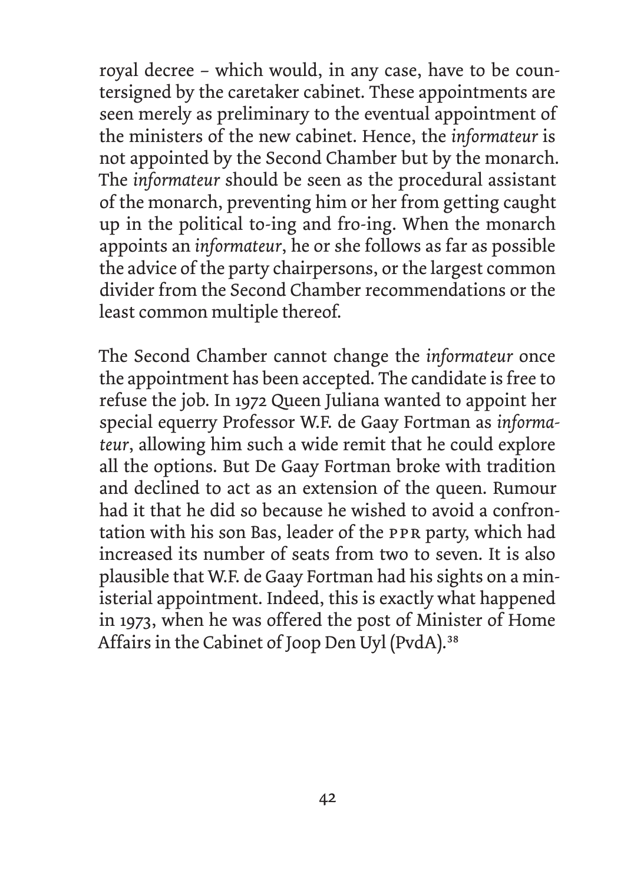royal decree – which would, in any case, have to be countersigned by the caretaker cabinet. These appointments are seen merely as preliminary to the eventual appointment of the ministers of the new cabinet. Hence, the *informateur* is not appointed by the Second Chamber but by the monarch. The *informateur* should be seen as the procedural assistant of the monarch, preventing him or her from getting caught up in the political to-ing and fro-ing. When the monarch appoints an *informateur*, he or she follows as far as possible the advice of the party chairpersons, or the largest common divider from the Second Chamber recommendations or the least common multiple thereof.

The Second Chamber cannot change the *informateur* once the appointment has been accepted. The candidate is free to refuse the job. In 1972 Queen Juliana wanted to appoint her special equerry Professor W.F. de Gaay Fortman as *informateur*, allowing him such a wide remit that he could explore all the options. But De Gaay Fortman broke with tradition and declined to act as an extension of the queen. Rumour had it that he did so because he wished to avoid a confrontation with his son Bas, leader of the ppr party, which had increased its number of seats from two to seven. It is also plausible that W.F. de Gaay Fortman had his sights on a ministerial appointment. Indeed, this is exactly what happened in 1973, when he was offered the post of Minister of Home Affairs in the Cabinet of Joop Den Uyl (PvdA).<sup>38</sup>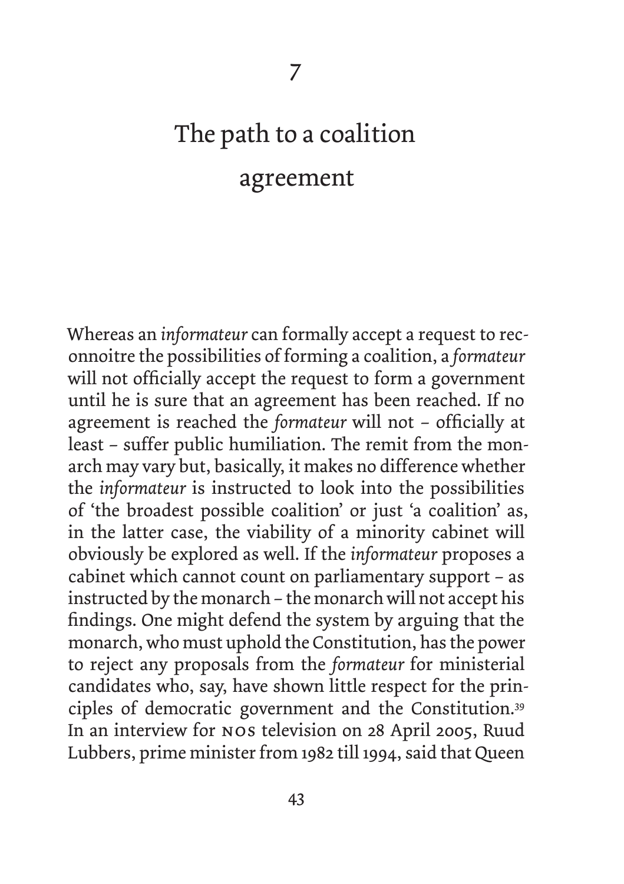## The path to a coalition agreement

Whereas an *informateur* can formally accept a request to reconnoitre the possibilities of forming a coalition, a *formateur* will not officially accept the request to form a government until he is sure that an agreement has been reached. If no agreement is reached the *formateur* will not – officially at least – suffer public humiliation. The remit from the monarch may vary but, basically, it makes no difference whether the *informateur* is instructed to look into the possibilities of 'the broadest possible coalition' or just 'a coalition' as, in the latter case, the viability of a minority cabinet will obviously be explored as well. If the *informateur* proposes a cabinet which cannot count on parliamentary support – as instructed by the monarch – the monarch will not accept his findings. One might defend the system by arguing that the monarch, who must uphold the Constitution, has the power to reject any proposals from the *formateur* for ministerial candidates who, say, have shown little respect for the principles of democratic government and the Constitution.39 In an interview for nos television on 28 April 2005, Ruud Lubbers, prime minister from 1982 till 1994, said that Queen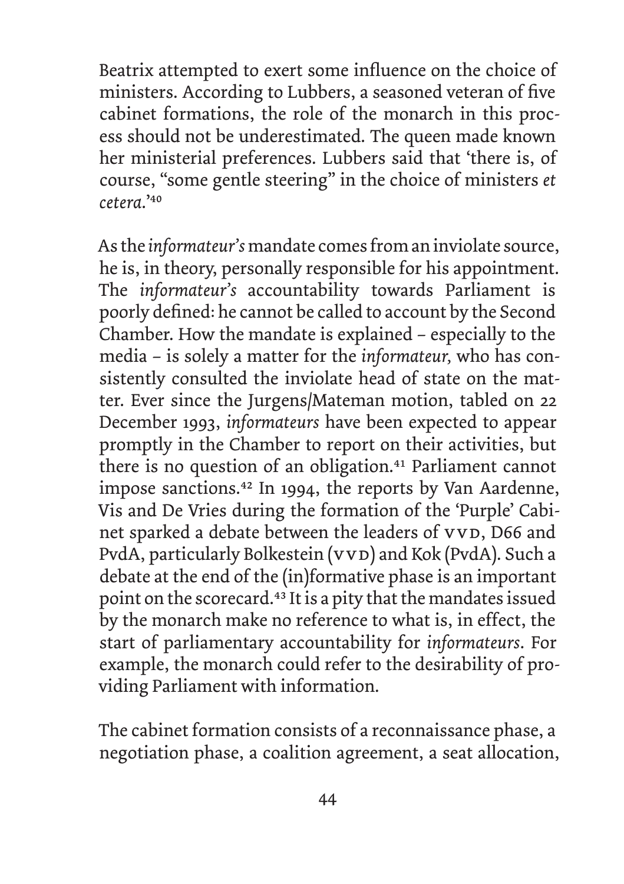Beatrix attempted to exert some influence on the choice of ministers. According to Lubbers, a seasoned veteran of five cabinet formations, the role of the monarch in this process should not be underestimated. The queen made known her ministerial preferences. Lubbers said that 'there is, of course, "some gentle steering" in the choice of ministers *et cetera*.'<sup>40</sup>

As the *informateur's* mandate comes from an inviolate source, he is, in theory, personally responsible for his appointment. The *informateur's* accountability towards Parliament is poorly defined: he cannot be called to account by the Second Chamber. How the mandate is explained – especially to the media – is solely a matter for the *informateur,* who has consistently consulted the inviolate head of state on the matter. Ever since the Jurgens/Mateman motion, tabled on 22 December 1993, *informateurs* have been expected to appear promptly in the Chamber to report on their activities, but there is no question of an obligation.<sup>41</sup> Parliament cannot impose sanctions.<sup>42</sup> In 1994, the reports by Van Aardenne, Vis and De Vries during the formation of the 'Purple' Cabinet sparked a debate between the leaders of  $vvp$ , D66 and PvdA, particularly Bolkestein (VVD) and Kok (PvdA). Such a debate at the end of the (in)formative phase is an important point on the scorecard.<sup>43</sup> It is a pity that the mandates issued by the monarch make no reference to what is, in effect, the start of parliamentary accountability for *informateurs*. For example, the monarch could refer to the desirability of providing Parliament with information.

The cabinet formation consists of a reconnaissance phase, a negotiation phase, a coalition agreement, a seat allocation,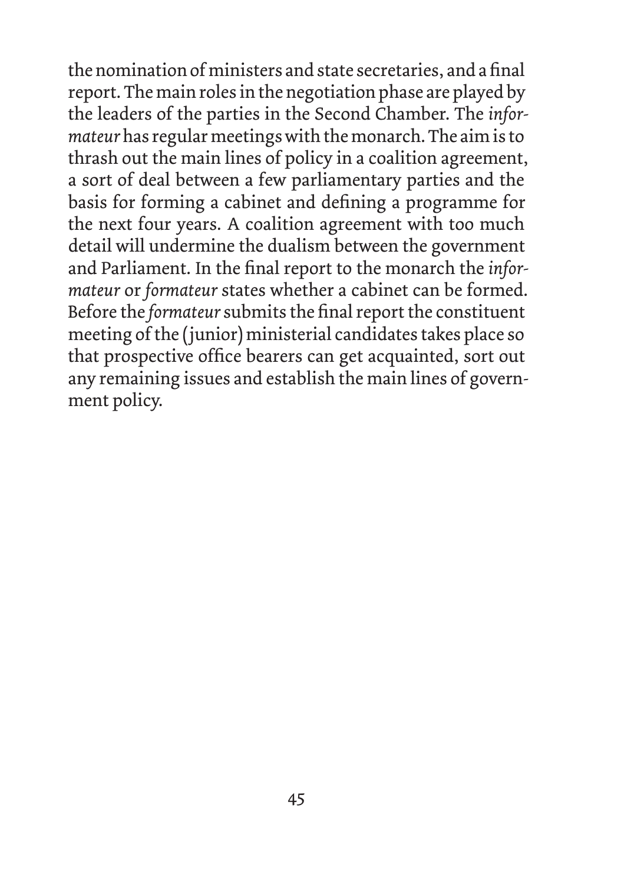the nomination of ministers and state secretaries, and a final report. The main roles in the negotiation phase are played by the leaders of the parties in the Second Chamber. The *informateur* has regular meetings with the monarch. The aim is to thrash out the main lines of policy in a coalition agreement, a sort of deal between a few parliamentary parties and the basis for forming a cabinet and defining a programme for the next four years. A coalition agreement with too much detail will undermine the dualism between the government and Parliament. In the final report to the monarch the *informateur* or *formateur* states whether a cabinet can be formed. Before the *formateur* submits the final report the constituent meeting of the (junior) ministerial candidates takes place so that prospective office bearers can get acquainted, sort out any remaining issues and establish the main lines of government policy.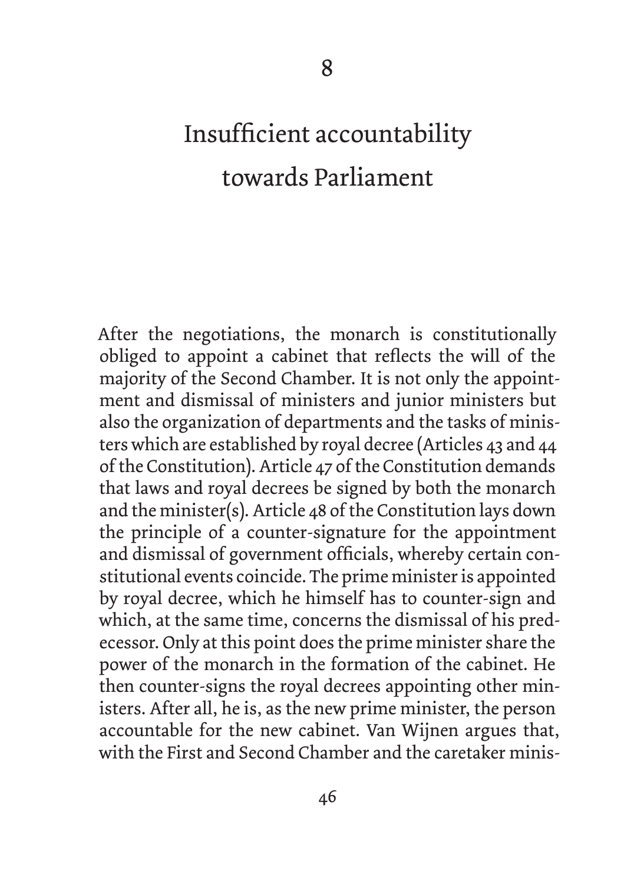## Insufficient accountability towards Parliament

After the negotiations, the monarch is constitutionally obliged to appoint a cabinet that reflects the will of the majority of the Second Chamber. It is not only the appointment and dismissal of ministers and junior ministers but also the organization of departments and the tasks of ministers which are established by royal decree (Articles 43 and 44 of the Constitution). Article 47 of the Constitution demands that laws and royal decrees be signed by both the monarch and the minister(s). Article 48 of the Constitution lays down the principle of a counter-signature for the appointment and dismissal of government officials, whereby certain constitutional events coincide. The prime minister is appointed by royal decree, which he himself has to counter-sign and which, at the same time, concerns the dismissal of his predecessor. Only at this point does the prime minister share the power of the monarch in the formation of the cabinet. He then counter-signs the royal decrees appointing other ministers. After all, he is, as the new prime minister, the person accountable for the new cabinet. Van Wijnen argues that, with the First and Second Chamber and the caretaker minis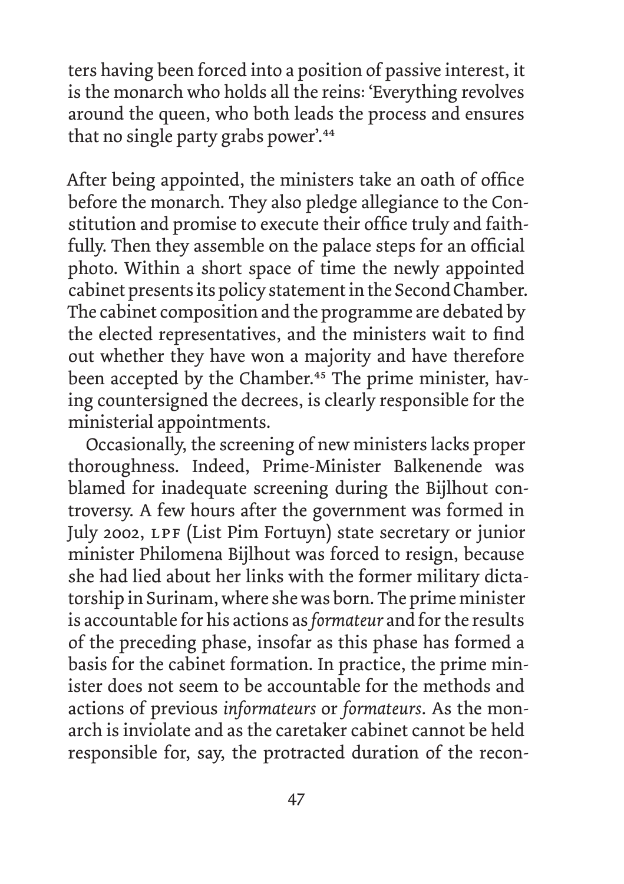ters having been forced into a position of passive interest, it is the monarch who holds all the reins: 'Everything revolves around the queen, who both leads the process and ensures that no single party grabs power'.<sup>44</sup>

After being appointed, the ministers take an oath of office before the monarch. They also pledge allegiance to the Constitution and promise to execute their office truly and faithfully. Then they assemble on the palace steps for an official photo. Within a short space of time the newly appointed cabinet presents its policy statement in the Second Chamber. The cabinet composition and the programme are debated by the elected representatives, and the ministers wait to find out whether they have won a majority and have therefore been accepted by the Chamber.<sup>45</sup> The prime minister, having countersigned the decrees, is clearly responsible for the ministerial appointments.

 Occasionally, the screening of new ministers lacks proper thoroughness. Indeed, Prime-Minister Balkenende was blamed for inadequate screening during the Bijlhout controversy. A few hours after the government was formed in July 2002, LPF (List Pim Fortuyn) state secretary or junior minister Philomena Bijlhout was forced to resign, because she had lied about her links with the former military dictatorship in Surinam, where she was born. The prime minister is accountable for his actions as *formateur* and for the results of the preceding phase, insofar as this phase has formed a basis for the cabinet formation. In practice, the prime minister does not seem to be accountable for the methods and actions of previous *informateurs* or *formateurs*. As the monarch is inviolate and as the caretaker cabinet cannot be held responsible for, say, the protracted duration of the recon-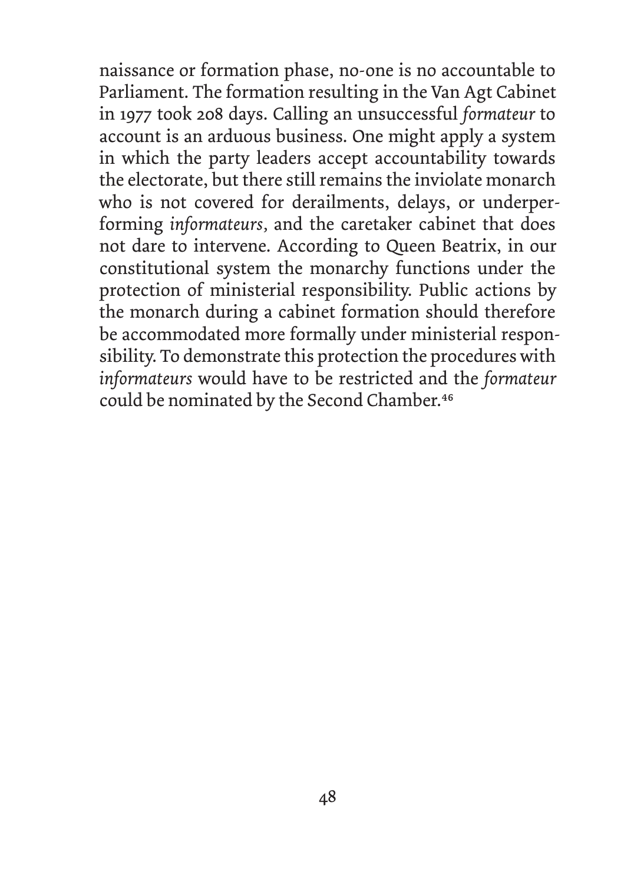naissance or formation phase, no-one is no accountable to Parliament. The formation resulting in the Van Agt Cabinet in 1977 took 208 days. Calling an unsuccessful *formateur* to account is an arduous business. One might apply a system in which the party leaders accept accountability towards the electorate, but there still remains the inviolate monarch who is not covered for derailments, delays, or underperforming *informateurs,* and the caretaker cabinet that does not dare to intervene. According to Queen Beatrix, in our constitutional system the monarchy functions under the protection of ministerial responsibility. Public actions by the monarch during a cabinet formation should therefore be accommodated more formally under ministerial responsibility. To demonstrate this protection the procedures with *informateurs* would have to be restricted and the *formateur*  could be nominated by the Second Chamber.<sup>46</sup>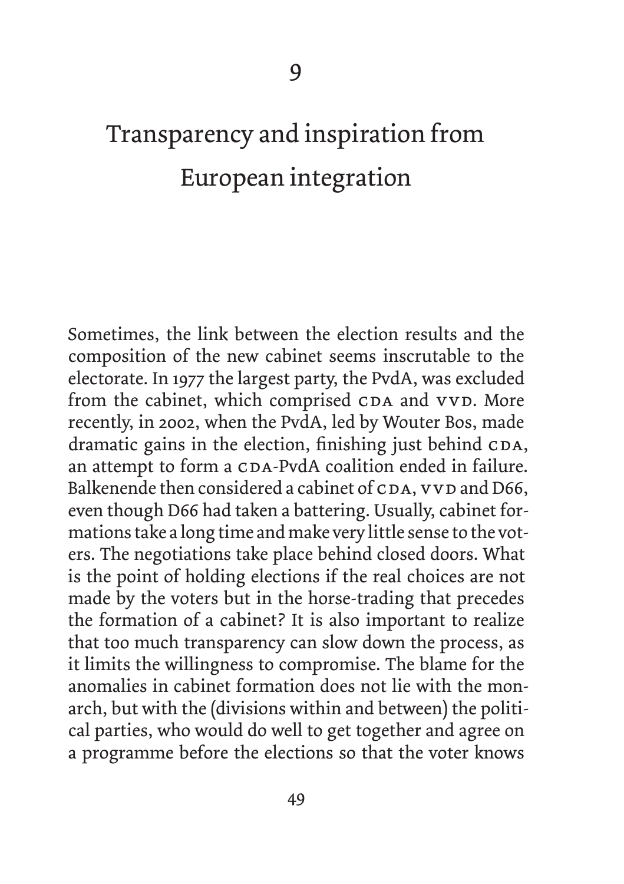## Transparency and inspiration from European integration

Sometimes, the link between the election results and the composition of the new cabinet seems inscrutable to the electorate. In 1977 the largest party, the PvdA, was excluded from the cabinet, which comprised CDA and VVD. More recently, in 2002, when the PvdA, led by Wouter Bos, made dramatic gains in the election, finishing just behind CDA, an attempt to form a CDA-PvdA coalition ended in failure. Balkenende then considered a cabinet of CDA, VVD and D66, even though D66 had taken a battering. Usually, cabinet formations take a long time and make very little sense to the voters. The negotiations take place behind closed doors. What is the point of holding elections if the real choices are not made by the voters but in the horse-trading that precedes the formation of a cabinet? It is also important to realize that too much transparency can slow down the process, as it limits the willingness to compromise. The blame for the anomalies in cabinet formation does not lie with the monarch, but with the (divisions within and between) the political parties, who would do well to get together and agree on a programme before the elections so that the voter knows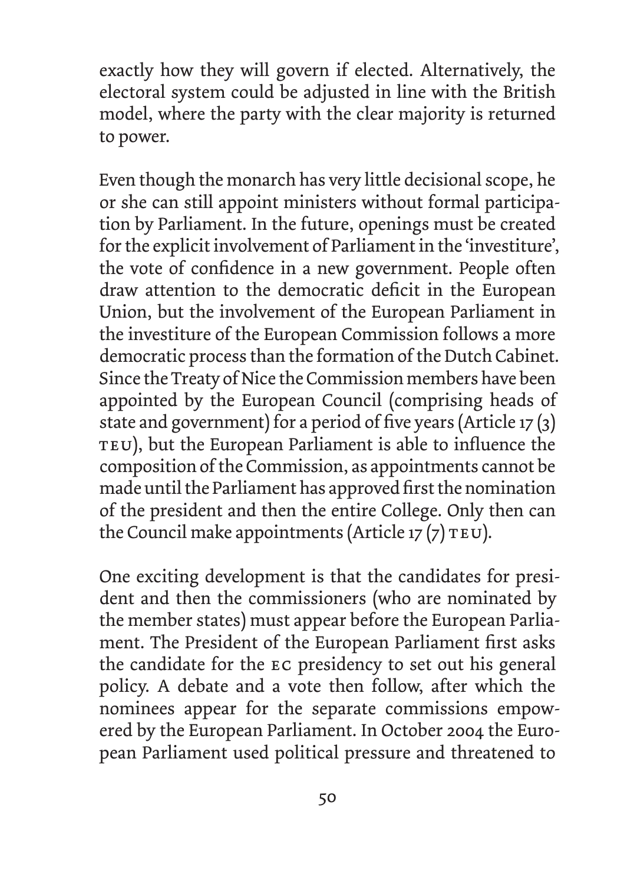exactly how they will govern if elected. Alternatively, the electoral system could be adjusted in line with the British model, where the party with the clear majority is returned to power.

Even though the monarch has very little decisional scope, he or she can still appoint ministers without formal participation by Parliament. In the future, openings must be created for the explicit involvement of Parliament in the 'investiture', the vote of confidence in a new government. People often draw attention to the democratic deficit in the European Union, but the involvement of the European Parliament in the investiture of the European Commission follows a more democratic process than the formation of the Dutch Cabinet. Since the Treaty of Nice the Commission members have been appointed by the European Council (comprising heads of state and government) for a period of five years (Article 17 (3) TEU), but the European Parliament is able to influence the composition of the Commission, as appointments cannot be made until the Parliament has approved first the nomination of the president and then the entire College. Only then can the Council make appointments (Article 17 $(7)$  TEU).

One exciting development is that the candidates for president and then the commissioners (who are nominated by the member states) must appear before the European Parliament. The President of the European Parliament first asks the candidate for the ec presidency to set out his general policy. A debate and a vote then follow, after which the nominees appear for the separate commissions empowered by the European Parliament. In October 2004 the European Parliament used political pressure and threatened to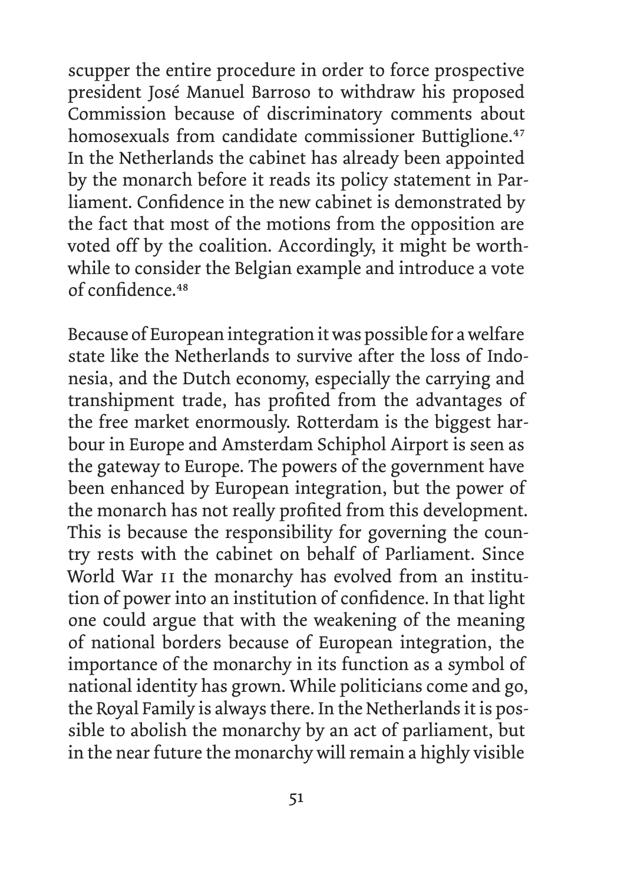scupper the entire procedure in order to force prospective president José Manuel Barroso to withdraw his proposed Commission because of discriminatory comments about homosexuals from candidate commissioner Buttiglione.<sup>47</sup> In the Netherlands the cabinet has already been appointed by the monarch before it reads its policy statement in Parliament. Confidence in the new cabinet is demonstrated by the fact that most of the motions from the opposition are voted off by the coalition. Accordingly, it might be worthwhile to consider the Belgian example and introduce a vote of confidence.<sup>48</sup>

Because of European integration it was possible for a welfare state like the Netherlands to survive after the loss of Indonesia, and the Dutch economy, especially the carrying and transhipment trade, has profited from the advantages of the free market enormously. Rotterdam is the biggest harbour in Europe and Amsterdam Schiphol Airport is seen as the gateway to Europe. The powers of the government have been enhanced by European integration, but the power of the monarch has not really profited from this development. This is because the responsibility for governing the country rests with the cabinet on behalf of Parliament. Since World War II the monarchy has evolved from an institution of power into an institution of confidence. In that light one could argue that with the weakening of the meaning of national borders because of European integration, the importance of the monarchy in its function as a symbol of national identity has grown. While politicians come and go, the Royal Family is always there. In the Netherlands it is possible to abolish the monarchy by an act of parliament, but in the near future the monarchy will remain a highly visible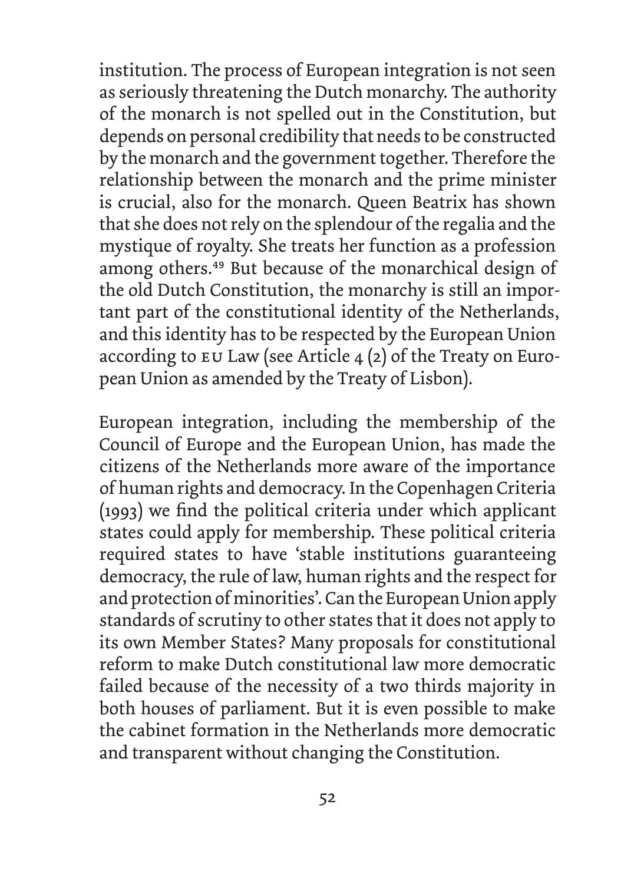institution. The process of European integration is not seen as seriously threatening the Dutch monarchy. The authority of the monarch is not spelled out in the Constitution, but depends on personal credibility that needs to be constructed by the monarch and the government together. Therefore the relationship between the monarch and the prime minister is crucial, also for the monarch. Queen Beatrix has shown that she does not rely on the splendour of the regalia and the mystique of royalty. She treats her function as a profession among others.<sup>49</sup> But because of the monarchical design of the old Dutch Constitution, the monarchy is still an important part of the constitutional identity of the Netherlands, and this identity has to be respected by the European Union according to eu Law (see Article 4 (2) of the Treaty on European Union as amended by the Treaty of Lisbon).

European integration, including the membership of the Council of Europe and the European Union, has made the citizens of the Netherlands more aware of the importance of human rights and democracy. In the Copenhagen Criteria (1993) we find the political criteria under which applicant states could apply for membership. These political criteria required states to have 'stable institutions guaranteeing democracy, the rule of law, human rights and the respect for and protection of minorities'. Can the European Union apply standards of scrutiny to other states that it does not apply to its own Member States? Many proposals for constitutional reform to make Dutch constitutional law more democratic failed because of the necessity of a two thirds majority in both houses of parliament. But it is even possible to make the cabinet formation in the Netherlands more democratic and transparent without changing the Constitution.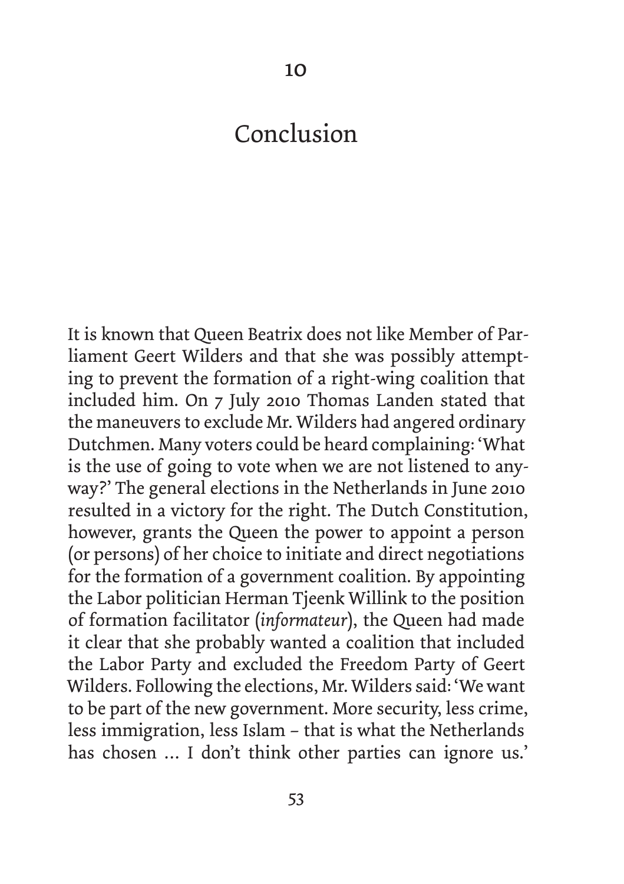#### Conclusion

 $1<sub>0</sub>$ 

It is known that Queen Beatrix does not like Member of Parliament Geert Wilders and that she was possibly attempting to prevent the formation of a right-wing coalition that included him. On 7 July 2010 Thomas Landen stated that the maneuvers to exclude Mr. Wilders had angered ordinary Dutchmen. Many voters could be heard complaining: 'What is the use of going to vote when we are not listened to anyway?' The general elections in the Netherlands in June 2010 resulted in a victory for the right. The Dutch Constitution, however, grants the Queen the power to appoint a person (or persons) of her choice to initiate and direct negotiations for the formation of a government coalition. By appointing the Labor politician Herman Tjeenk Willink to the position of formation facilitator (*informateur*), the Queen had made it clear that she probably wanted a coalition that included the Labor Party and excluded the Freedom Party of Geert Wilders. Following the elections, Mr. Wilders said: 'We want to be part of the new government. More security, less crime, less immigration, less Islam – that is what the Netherlands has chosen … I don't think other parties can ignore us.'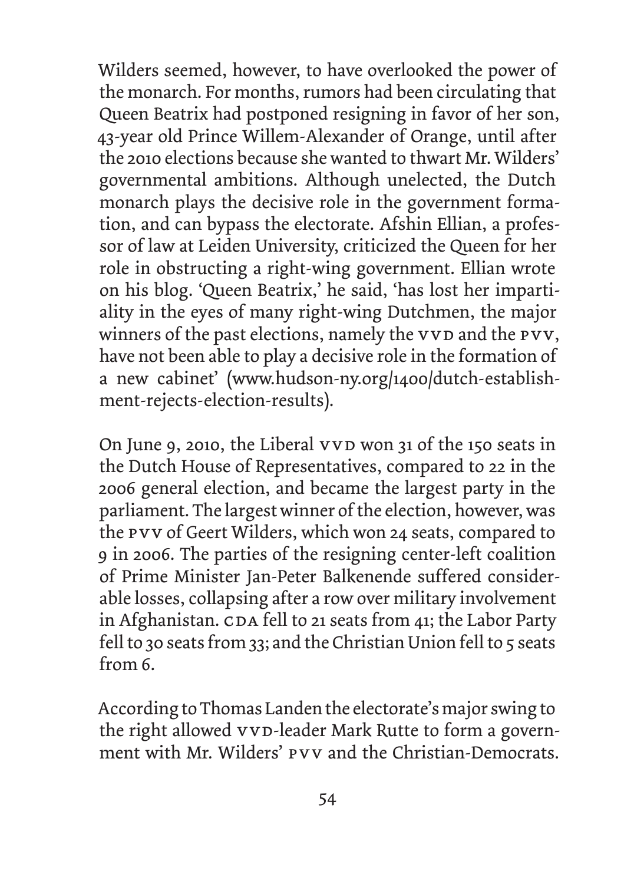Wilders seemed, however, to have overlooked the power of the monarch. For months, rumors had been circulating that Queen Beatrix had postponed resigning in favor of her son, 43-year old Prince Willem-Alexander of Orange, until after the 2010 elections because she wanted to thwart Mr. Wilders' governmental ambitions. Although unelected, the Dutch monarch plays the decisive role in the government formation, and can bypass the electorate. Afshin Ellian, a professor of law at Leiden University, criticized the Queen for her role in obstructing a right-wing government. Ellian wrote on his blog. 'Queen Beatrix,' he said, 'has lost her impartiality in the eyes of many right-wing Dutchmen, the major winners of the past elections, namely the vvD and the PVV, have not been able to play a decisive role in the formation of a new cabinet' (www.hudson-ny.org/1400/dutch-establishment-rejects-election-results).

On June 9, 2010, the Liberal vvD won 31 of the 150 seats in the Dutch House of Representatives, compared to 22 in the 2006 general election, and became the largest party in the parliament. The largest winner of the election, however, was the pvv of Geert Wilders, which won 24 seats, compared to 9 in 2006. The parties of the resigning center-left coalition of Prime Minister Jan-Peter Balkenende suffered considerable losses, collapsing after a row over military involvement in Afghanistan. CDA fell to 21 seats from 41; the Labor Party fell to 30 seats from 33; and the Christian Union fell to 5 seats from 6.

According to Thomas Landen the electorate's major swing to the right allowed vvD-leader Mark Rutte to form a government with Mr. Wilders' pvv and the Christian-Democrats.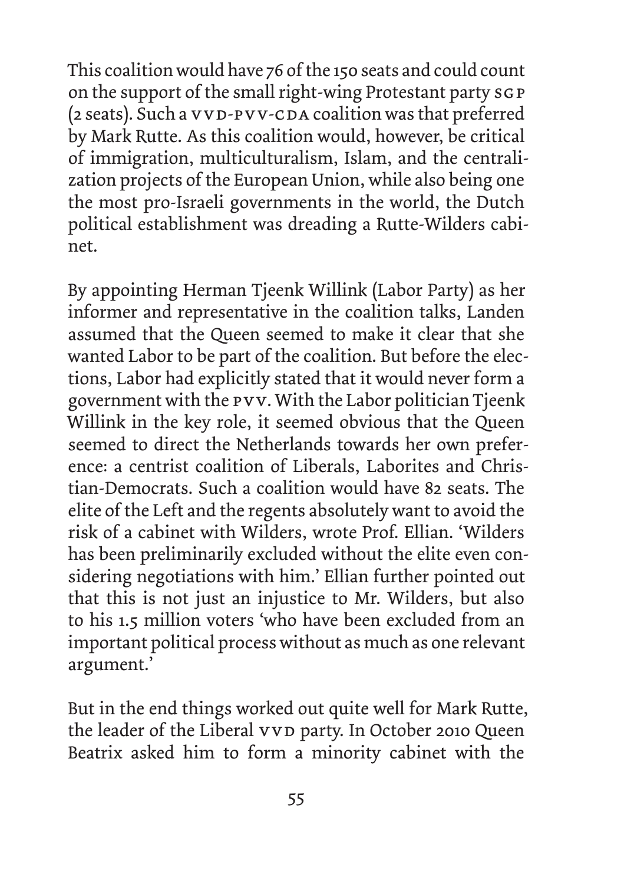This coalition would have 76 of the 150 seats and could count on the support of the small right-wing Protestant party SGP (2 seats). Such a VVD-PVV-CDA coalition was that preferred by Mark Rutte. As this coalition would, however, be critical of immigration, multiculturalism, Islam, and the centralization projects of the European Union, while also being one the most pro-Israeli governments in the world, the Dutch political establishment was dreading a Rutte-Wilders cabinet.

By appointing Herman Tjeenk Willink (Labor Party) as her informer and representative in the coalition talks, Landen assumed that the Queen seemed to make it clear that she wanted Labor to be part of the coalition. But before the elections, Labor had explicitly stated that it would never form a government with the pvv. With the Labor politician Tjeenk Willink in the key role, it seemed obvious that the Queen seemed to direct the Netherlands towards her own preference: a centrist coalition of Liberals, Laborites and Christian-Democrats. Such a coalition would have 82 seats. The elite of the Left and the regents absolutely want to avoid the risk of a cabinet with Wilders, wrote Prof. Ellian. 'Wilders has been preliminarily excluded without the elite even considering negotiations with him.' Ellian further pointed out that this is not just an injustice to Mr. Wilders, but also to his 1.5 million voters 'who have been excluded from an important political process without as much as one relevant argument.'

But in the end things worked out quite well for Mark Rutte, the leader of the Liberal vvD party. In October 2010 Queen Beatrix asked him to form a minority cabinet with the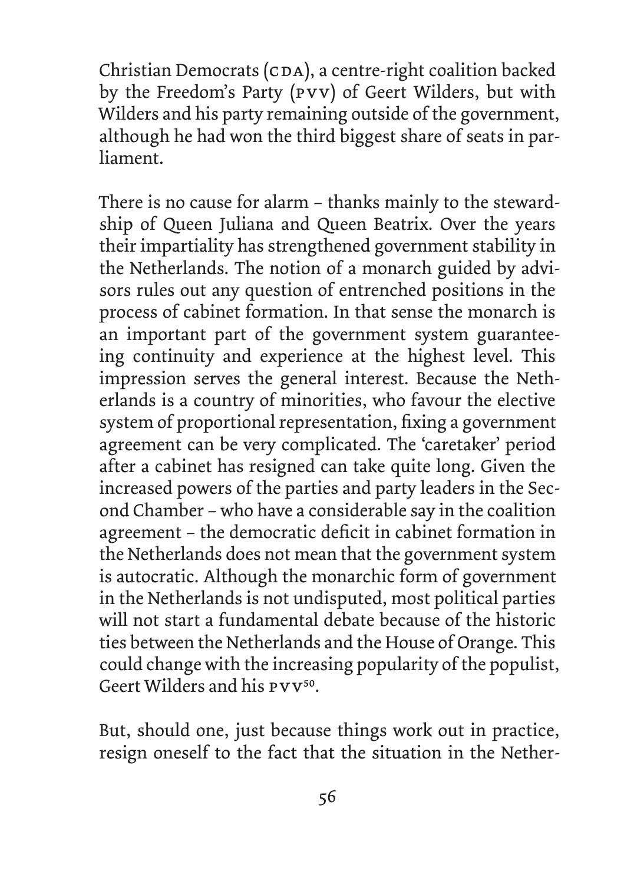Christian Democrats (CDA), a centre-right coalition backed by the Freedom's Party (pvv) of Geert Wilders, but with Wilders and his party remaining outside of the government, although he had won the third biggest share of seats in parliament.

There is no cause for alarm – thanks mainly to the stewardship of Queen Juliana and Queen Beatrix. Over the years their impartiality has strengthened government stability in the Netherlands. The notion of a monarch guided by advisors rules out any question of entrenched positions in the process of cabinet formation. In that sense the monarch is an important part of the government system guaranteeing continuity and experience at the highest level. This impression serves the general interest. Because the Netherlands is a country of minorities, who favour the elective system of proportional representation, fixing a government agreement can be very complicated. The 'caretaker' period after a cabinet has resigned can take quite long. Given the increased powers of the parties and party leaders in the Second Chamber – who have a considerable say in the coalition agreement – the democratic deficit in cabinet formation in the Netherlands does not mean that the government system is autocratic. Although the monarchic form of government in the Netherlands is not undisputed, most political parties will not start a fundamental debate because of the historic ties between the Netherlands and the House of Orange. This could change with the increasing popularity of the populist, Geert Wilders and his PVV<sup>50</sup>.

But, should one, just because things work out in practice, resign oneself to the fact that the situation in the Nether-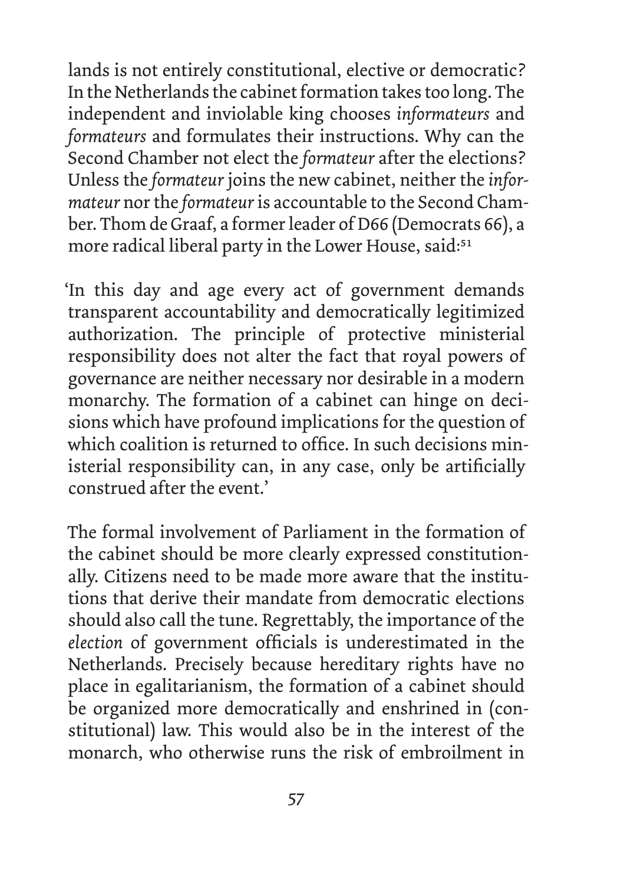lands is not entirely constitutional, elective or democratic? In the Netherlands the cabinet formation takes too long. The independent and inviolable king chooses *informateurs* and *formateurs* and formulates their instructions. Why can the Second Chamber not elect the *formateur* after the elections? Unless the *formateur* joins the new cabinet, neither the *informateur* nor the *formateur* is accountable to the Second Chamber. Thom de Graaf, a former leader of D66 (Democrats 66), a more radical liberal party in the Lower House, said:<sup>51</sup>

'In this day and age every act of government demands transparent accountability and democratically legitimized authorization. The principle of protective ministerial responsibility does not alter the fact that royal powers of governance are neither necessary nor desirable in a modern monarchy. The formation of a cabinet can hinge on decisions which have profound implications for the question of which coalition is returned to office. In such decisions ministerial responsibility can, in any case, only be artificially construed after the event.'

The formal involvement of Parliament in the formation of the cabinet should be more clearly expressed constitutionally. Citizens need to be made more aware that the institutions that derive their mandate from democratic elections should also call the tune. Regrettably, the importance of the *election* of government officials is underestimated in the Netherlands. Precisely because hereditary rights have no place in egalitarianism, the formation of a cabinet should be organized more democratically and enshrined in (constitutional) law. This would also be in the interest of the monarch, who otherwise runs the risk of embroilment in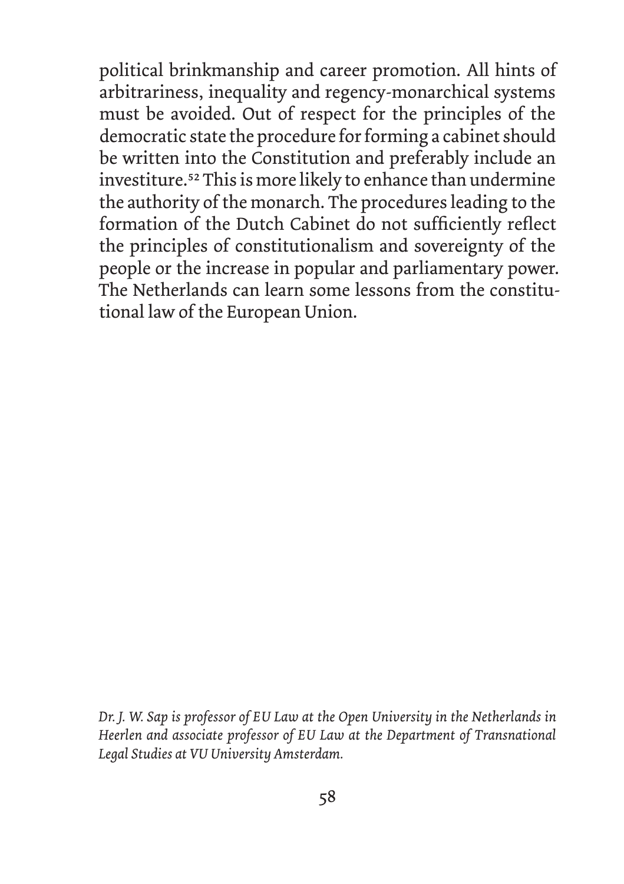political brinkmanship and career promotion. All hints of arbitrariness, inequality and regency-monarchical systems must be avoided. Out of respect for the principles of the democratic state the procedure for forming a cabinet should be written into the Constitution and preferably include an investiture.<sup>52</sup> This is more likely to enhance than undermine the authority of the monarch. The procedures leading to the formation of the Dutch Cabinet do not sufficiently reflect the principles of constitutionalism and sovereignty of the people or the increase in popular and parliamentary power. The Netherlands can learn some lessons from the constitutional law of the European Union.

*Dr. J. W. Sap is professor of EU Law at the Open University in the Netherlands in Heerlen and associate professor of EU Law at the Department of Transnational Legal Studies at VU University Amsterdam.*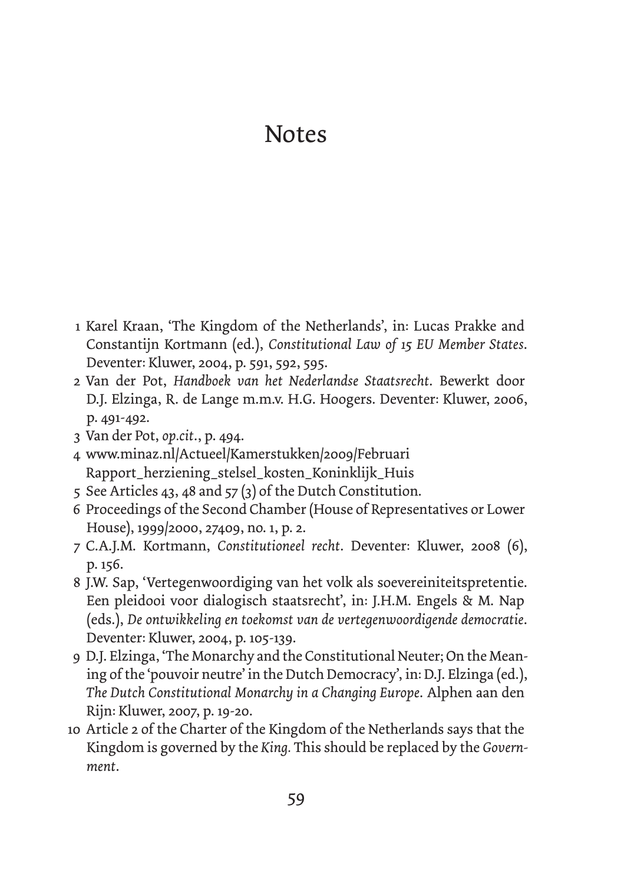#### Notes

- 1 Karel Kraan, 'The Kingdom of the Netherlands', in: Lucas Prakke and Constantijn Kortmann (ed.), *Constitutional Law of 15 EU Member States*. Deventer: Kluwer, 2004, p. 591, 592, 595.
- 2 Van der Pot, *Handboek van het Nederlandse Staatsrecht*. Bewerkt door D.J. Elzinga, R. de Lange m.m.v. H.G. Hoogers. Deventer: Kluwer, 2006, p. 491-492.
- 3 Van der Pot, *op.cit*., p. 494.
- 4 www.minaz.nl/Actueel/Kamerstukken/2009/Februari Rapport\_herziening\_stelsel\_kosten\_Koninklijk\_Huis
- 5 See Articles 43, 48 and 57 (3) of the Dutch Constitution.
- 6 Proceedings of the Second Chamber (House of Representatives or Lower House), 1999/2000, 27409, no. 1, p. 2.
- 7 C.A.J.M. Kortmann, *Constitutioneel recht*. Deventer: Kluwer, 2008 (6), p. 156.
- 8 J.W. Sap, 'Vertegenwoordiging van het volk als soevereiniteitspretentie. Een pleidooi voor dialogisch staatsrecht', in: J.H.M. Engels & M. Nap (eds.), *De ontwikkeling en toekomst van de vertegenwoordigende democratie*. Deventer: Kluwer, 2004, p. 105-139.
- 9 D.J. Elzinga, 'The Monarchy and the Constitutional Neuter; On the Meaning of the 'pouvoir neutre' in the Dutch Democracy', in: D.J. Elzinga (ed.), *The Dutch Constitutional Monarchy in a Changing Europe*. Alphen aan den Rijn: Kluwer, 2007, p. 19-20.
- 10 Article 2 of the Charter of the Kingdom of the Netherlands says that the Kingdom is governed by the *King.* This should be replaced by the *Government*.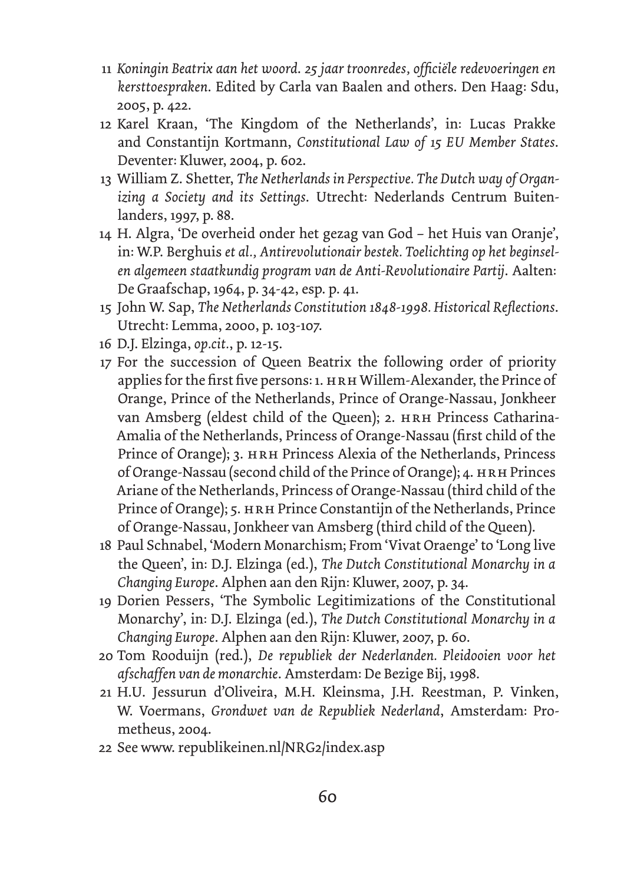- 11 *Koningin Beatrix aan het woord*. *25 jaar troonredes, officiële redevoeringen en kersttoespraken*. Edited by Carla van Baalen and others. Den Haag: Sdu, 2005, p. 422.
- 12 Karel Kraan, 'The Kingdom of the Netherlands', in: Lucas Prakke and Constantijn Kortmann, *Constitutional Law of 15 EU Member States*. Deventer: Kluwer, 2004, p. 602.
- 13 William Z. Shetter, *The Netherlands in Perspective. The Dutch way of Organizing a Society and its Settings*. Utrecht: Nederlands Centrum Buitenlanders, 1997, p. 88.
- 14 H. Algra, 'De overheid onder het gezag van God het Huis van Oranje', in: W.P. Berghuis *et al., Antirevolutionair bestek. Toelichting op het beginselen algemeen staatkundig program van de Anti-Revolutionaire Partij*. Aalten: De Graafschap, 1964, p. 34-42, esp. p. 41.
- 15 John W. Sap, *The Netherlands Constitution 1848-1998. Historical Reflections*. Utrecht: Lemma, 2000, p. 103-107.
- 16 D.J. Elzinga, *op.cit.*, p. 12-15.
- 17 For the succession of Queen Beatrix the following order of priority applies for the first five persons: 1. HRH Willem-Alexander, the Prince of Orange, Prince of the Netherlands, Prince of Orange-Nassau, Jonkheer van Amsberg (eldest child of the Queen); 2. HRH Princess Catharina-Amalia of the Netherlands, Princess of Orange-Nassau (first child of the Prince of Orange); 3. HRH Princess Alexia of the Netherlands, Princess of Orange-Nassau (second child of the Prince of Orange); 4. HRH Princes Ariane of the Netherlands, Princess of Orange-Nassau (third child of the Prince of Orange); 5. HRH Prince Constantijn of the Netherlands, Prince of Orange-Nassau, Jonkheer van Amsberg (third child of the Queen).
- 18 Paul Schnabel, 'Modern Monarchism; From 'Vivat Oraenge' to 'Long live the Queen', in: D.J. Elzinga (ed.), *The Dutch Constitutional Monarchy in a Changing Europe*. Alphen aan den Rijn: Kluwer, 2007, p. 34.
- 19 Dorien Pessers, 'The Symbolic Legitimizations of the Constitutional Monarchy', in: D.J. Elzinga (ed.), *The Dutch Constitutional Monarchy in a Changing Europe*. Alphen aan den Rijn: Kluwer, 2007, p. 60.
- 20 Tom Rooduijn (red.), *De republiek der Nederlanden. Pleidooien voor het afschaffen van de monarchie*. Amsterdam: De Bezige Bij, 1998.
- 21 H.U. Jessurun d'Oliveira, M.H. Kleinsma, J.H. Reestman, P. Vinken, W. Voermans, *Grondwet van de Republiek Nederland*, Amsterdam: Prometheus, 2004.
- 22 See www. republikeinen.nl/NRG2/index.asp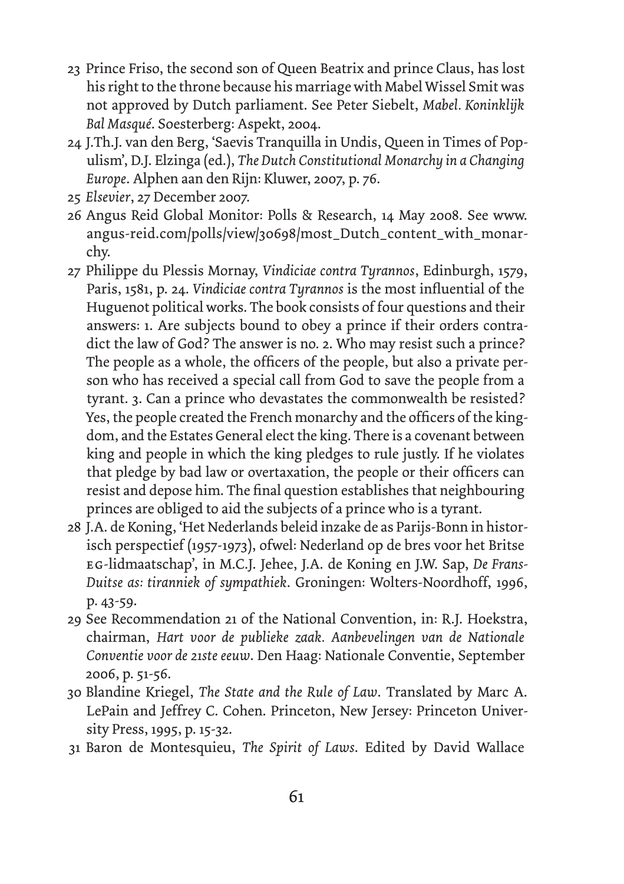- 23 Prince Friso, the second son of Queen Beatrix and prince Claus, has lost his right to the throne because his marriage with Mabel Wissel Smit was not approved by Dutch parliament. See Peter Siebelt, *Mabel. Koninklijk Bal Masqué*. Soesterberg: Aspekt, 2004.
- 24 J.Th.J. van den Berg, 'Saevis Tranquilla in Undis, Queen in Times of Populism', D.J. Elzinga (ed.), *The Dutch Constitutional Monarchy in a Changing Europe*. Alphen aan den Rijn: Kluwer, 2007, p. 76.
- 25 *Elsevier*, 27 December 2007.
- 26 Angus Reid Global Monitor: Polls & Research, 14 May 2008. See www. angus-reid.com/polls/view/30698/most\_Dutch\_content\_with\_monarchy.
- 27 Philippe du Plessis Mornay, *Vindiciae contra Tyrannos*, Edinburgh, 1579, Paris, 1581, p. 24. *Vindiciae contra Tyrannos* is the most influential of the Huguenot political works. The book consists of four questions and their answers: 1. Are subjects bound to obey a prince if their orders contradict the law of God? The answer is no. 2. Who may resist such a prince? The people as a whole, the officers of the people, but also a private person who has received a special call from God to save the people from a tyrant. 3. Can a prince who devastates the commonwealth be resisted? Yes, the people created the French monarchy and the officers of the kingdom, and the Estates General elect the king. There is a covenant between king and people in which the king pledges to rule justly. If he violates that pledge by bad law or overtaxation, the people or their officers can resist and depose him. The final question establishes that neighbouring princes are obliged to aid the subjects of a prince who is a tyrant.
- 28 J.A. de Koning, 'Het Nederlands beleid inzake de as Parijs-Bonn in historisch perspectief (1957-1973), ofwel: Nederland op de bres voor het Britse eg-lidmaatschap', in M.C.J. Jehee, J.A. de Koning en J.W. Sap, *De Frans-Duitse as: tiranniek of sympathiek*. Groningen: Wolters-Noordhoff, 1996, p. 43-59.
- 29 See Recommendation 21 of the National Convention, in: R.J. Hoekstra, chairman, *Hart voor de publieke zaak. Aanbevelingen van de Nationale Conventie voor de 21ste eeuw*. Den Haag: Nationale Conventie, September 2006, p. 51-56.
- 30 Blandine Kriegel, *The State and the Rule of Law*. Translated by Marc A. LePain and Jeffrey C. Cohen. Princeton, New Jersey: Princeton University Press, 1995, p. 15-32.
- 31 Baron de Montesquieu, *The Spirit of Laws*. Edited by David Wallace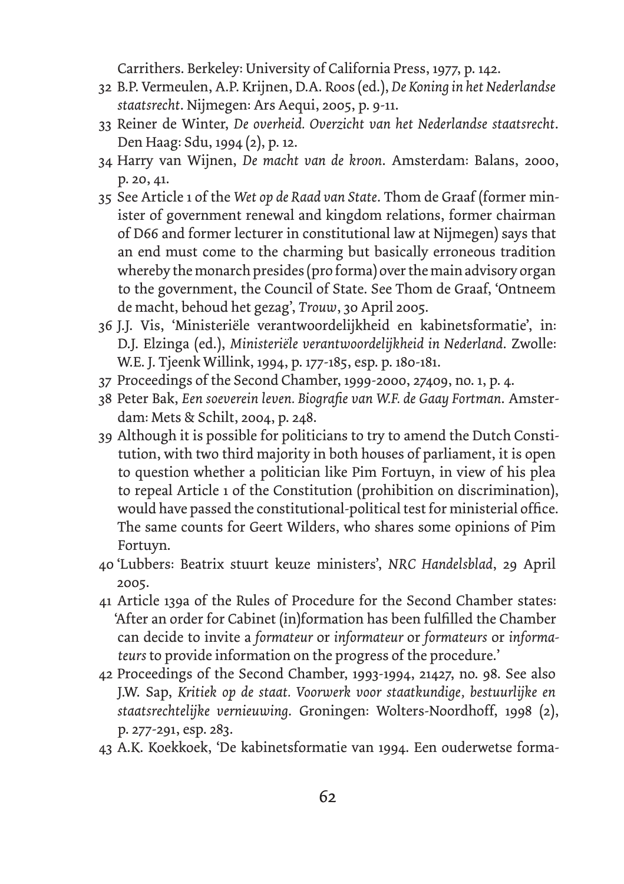Carrithers. Berkeley: University of California Press, 1977, p. 142.

- 32 B.P. Vermeulen, A.P. Krijnen, D.A. Roos (ed.), *De Koning in het Nederlandse staatsrecht*. Nijmegen: Ars Aequi, 2005, p. 9-11.
- 33 Reiner de Winter, *De overheid. Overzicht van het Nederlandse staatsrecht*. Den Haag: Sdu, 1994 (2), p. 12.
- 34 Harry van Wijnen, *De macht van de kroon*. Amsterdam: Balans, 2000, p. 20, 41.
- 35 See Article 1 of the *Wet op de Raad van State*. Thom de Graaf (former minister of government renewal and kingdom relations, former chairman of D66 and former lecturer in constitutional law at Nijmegen) says that an end must come to the charming but basically erroneous tradition whereby the monarch presides (pro forma) over the main advisory organ to the government, the Council of State. See Thom de Graaf, 'Ontneem de macht, behoud het gezag', *Trouw*, 30 April 2005.
- 36 J.J. Vis, 'Ministeriële verantwoordelijkheid en kabinetsformatie', in: D.J. Elzinga (ed.), *Ministeriële verantwoordelijkheid in Nederland*. Zwolle: W.E. J. Tjeenk Willink, 1994, p. 177-185, esp. p. 180-181.
- 37 Proceedings of the Second Chamber, 1999-2000, 27409, no. 1, p. 4.
- 38 Peter Bak, *Een soeverein leven. Biografie van W.F. de Gaay Fortman*. Amsterdam: Mets & Schilt, 2004, p. 248.
- 39 Although it is possible for politicians to try to amend the Dutch Constitution, with two third majority in both houses of parliament, it is open to question whether a politician like Pim Fortuyn, in view of his plea to repeal Article 1 of the Constitution (prohibition on discrimination), would have passed the constitutional-political test for ministerial office. The same counts for Geert Wilders, who shares some opinions of Pim Fortuyn.
- 40 'Lubbers: Beatrix stuurt keuze ministers', *NRC Handelsblad*, 29 April 2005.
- 41 Article 139a of the Rules of Procedure for the Second Chamber states: 'After an order for Cabinet (in)formation has been fulfilled the Chamber can decide to invite a *formateur* or *informateur* or *formateurs* or *informateurs* to provide information on the progress of the procedure.'
- 42 Proceedings of the Second Chamber, 1993-1994, 21427, no. 98. See also J.W. Sap, *Kritiek op de staat. Voorwerk voor staatkundige, bestuurlijke en staatsrechtelijke vernieuwing*. Groningen: Wolters-Noordhoff, 1998 (2), p. 277-291, esp. 283.
- 43 A.K. Koekkoek, 'De kabinetsformatie van 1994. Een ouderwetse forma-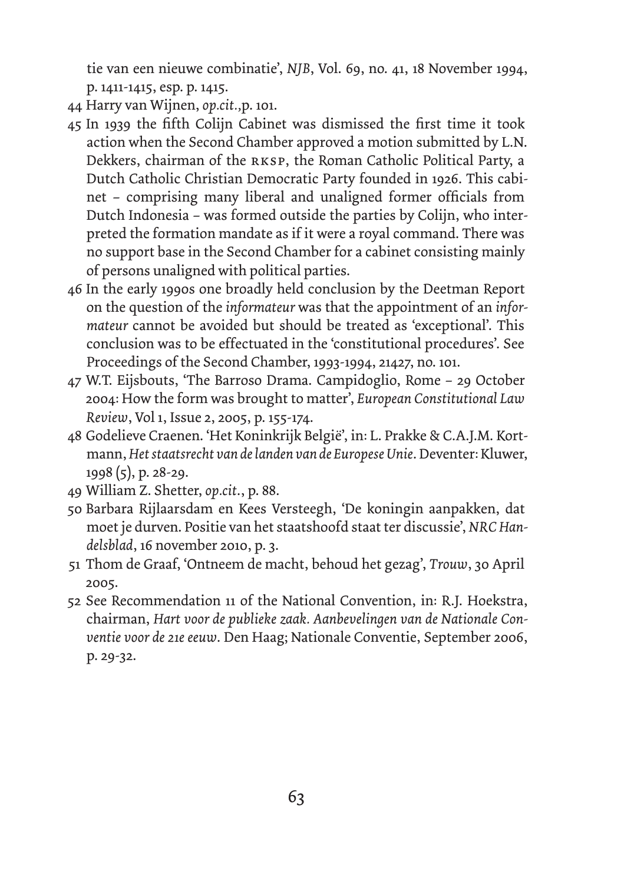tie van een nieuwe combinatie', *NJB*, Vol. 69, no. 41, 18 November 1994, p. 1411-1415, esp. p. 1415.

- 44 Harry van Wijnen, *op.cit.,*p. 101.
- 45 In 1939 the fifth Colijn Cabinet was dismissed the first time it took action when the Second Chamber approved a motion submitted by L.N. Dekkers, chairman of the rksp, the Roman Catholic Political Party, a Dutch Catholic Christian Democratic Party founded in 1926. This cabinet – comprising many liberal and unaligned former officials from Dutch Indonesia – was formed outside the parties by Colijn, who interpreted the formation mandate as if it were a royal command. There was no support base in the Second Chamber for a cabinet consisting mainly of persons unaligned with political parties.
- 46 In the early 1990s one broadly held conclusion by the Deetman Report on the question of the *informateur* was that the appointment of an *informateur* cannot be avoided but should be treated as 'exceptional'. This conclusion was to be effectuated in the 'constitutional procedures'. See Proceedings of the Second Chamber, 1993-1994, 21427, no. 101.
- 47 W.T. Eijsbouts, 'The Barroso Drama. Campidoglio, Rome 29 October 2004: How the form was brought to matter', *European Constitutional Law Review*, Vol 1, Issue 2, 2005, p. 155-174.
- 48 Godelieve Craenen. 'Het Koninkrijk België', in: L. Prakke & C.A.J.M. Kortmann, *Het staatsrecht van de landen van de Europese Unie*. Deventer: Kluwer, 1998 (5), p. 28-29.
- 49 William Z. Shetter, *op.cit*., p. 88.
- 50 Barbara Rijlaarsdam en Kees Versteegh, 'De koningin aanpakken, dat moet je durven. Positie van het staatshoofd staat ter discussie', *NRC Handelsblad*, 16 november 2010, p. 3.
- 51 Thom de Graaf, 'Ontneem de macht, behoud het gezag', *Trouw*, 30 April 2005.
- 52 See Recommendation 11 of the National Convention, in: R.J. Hoekstra, chairman, *Hart voor de publieke zaak. Aanbevelingen van de Nationale Conventie voor de 21e eeuw*. Den Haag; Nationale Conventie, September 2006, p. 29-32.